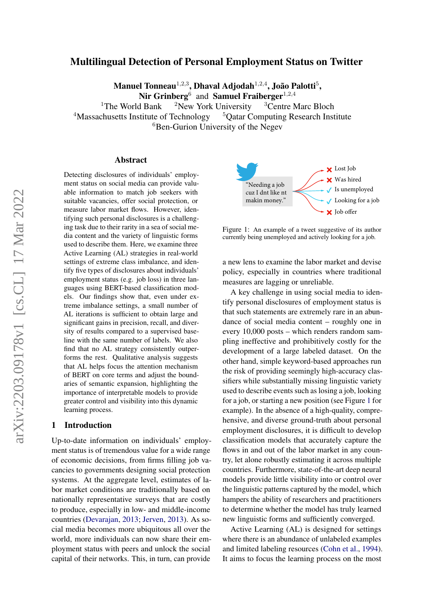# Multilingual Detection of Personal Employment Status on Twitter

Manuel Tonneau $^{1,2,3},$  Dhaval Adjodah $^{1,2,4},$  João Palotti $^{5},$ 

Nir Grinberg<sup>6</sup> and Samuel Fraiberger<sup>1,2,4</sup>

<sup>1</sup>The World Bank  $\frac{2N_{\text{ew}}}{N_{\text{ew}}}$  York University  $\frac{3}{2}$ Centre Marc Bloch <sup>4</sup>Massachusetts Institute of Technology <sup>5</sup>Qatar Computing Research Institute  ${}^{6}$ Ben-Gurion University of the Negev

#### Abstract

Detecting disclosures of individuals' employment status on social media can provide valuable information to match job seekers with suitable vacancies, offer social protection, or measure labor market flows. However, identifying such personal disclosures is a challenging task due to their rarity in a sea of social media content and the variety of linguistic forms used to describe them. Here, we examine three Active Learning (AL) strategies in real-world settings of extreme class imbalance, and identify five types of disclosures about individuals' employment status (e.g. job loss) in three languages using BERT-based classification models. Our findings show that, even under extreme imbalance settings, a small number of AL iterations is sufficient to obtain large and significant gains in precision, recall, and diversity of results compared to a supervised baseline with the same number of labels. We also find that no AL strategy consistently outperforms the rest. Qualitative analysis suggests that AL helps focus the attention mechanism of BERT on core terms and adjust the boundaries of semantic expansion, highlighting the importance of interpretable models to provide greater control and visibility into this dynamic learning process.

## 1 Introduction

Up-to-date information on individuals' employment status is of tremendous value for a wide range of economic decisions, from firms filling job vacancies to governments designing social protection systems. At the aggregate level, estimates of labor market conditions are traditionally based on nationally representative surveys that are costly to produce, especially in low- and middle-income countries [\(Devarajan,](#page-8-0) [2013;](#page-8-0) [Jerven,](#page-9-0) [2013\)](#page-9-0). As social media becomes more ubiquitous all over the world, more individuals can now share their employment status with peers and unlock the social capital of their networks. This, in turn, can provide

<span id="page-0-0"></span>

Figure 1: An example of a tweet suggestive of its author currently being unemployed and actively looking for a job.

a new lens to examine the labor market and devise policy, especially in countries where traditional measures are lagging or unreliable.

A key challenge in using social media to identify personal disclosures of employment status is that such statements are extremely rare in an abundance of social media content – roughly one in every 10,000 posts – which renders random sampling ineffective and prohibitively costly for the development of a large labeled dataset. On the other hand, simple keyword-based approaches run the risk of providing seemingly high-accuracy classifiers while substantially missing linguistic variety used to describe events such as losing a job, looking for a job, or starting a new position (see Figure [1](#page-0-0) for example). In the absence of a high-quality, comprehensive, and diverse ground-truth about personal employment disclosures, it is difficult to develop classification models that accurately capture the flows in and out of the labor market in any country, let alone robustly estimating it across multiple countries. Furthermore, state-of-the-art deep neural models provide little visibility into or control over the linguistic patterns captured by the model, which hampers the ability of researchers and practitioners to determine whether the model has truly learned new linguistic forms and sufficiently converged.

Active Learning (AL) is designed for settings where there is an abundance of unlabeled examples and limited labeling resources [\(Cohn et al.,](#page-8-1) [1994\)](#page-8-1). It aims to focus the learning process on the most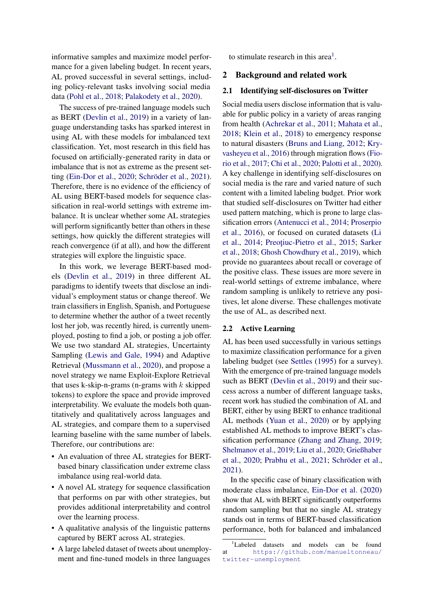informative samples and maximize model performance for a given labeling budget. In recent years, AL proved successful in several settings, including policy-relevant tasks involving social media data [\(Pohl et al.,](#page-9-1) [2018;](#page-9-1) [Palakodety et al.,](#page-9-2) [2020\)](#page-9-2).

The success of pre-trained language models such as BERT [\(Devlin et al.,](#page-8-2) [2019\)](#page-8-2) in a variety of language understanding tasks has sparked interest in using AL with these models for imbalanced text classification. Yet, most research in this field has focused on artificially-generated rarity in data or imbalance that is not as extreme as the present setting [\(Ein-Dor et al.,](#page-8-3) [2020;](#page-8-3) [Schröder et al.,](#page-10-0) [2021\)](#page-10-0). Therefore, there is no evidence of the efficiency of AL using BERT-based models for sequence classification in real-world settings with extreme imbalance. It is unclear whether some AL strategies will perform significantly better than others in these settings, how quickly the different strategies will reach convergence (if at all), and how the different strategies will explore the linguistic space.

In this work, we leverage BERT-based models [\(Devlin et al.,](#page-8-2) [2019\)](#page-8-2) in three different AL paradigms to identify tweets that disclose an individual's employment status or change thereof. We train classifiers in English, Spanish, and Portuguese to determine whether the author of a tweet recently lost her job, was recently hired, is currently unemployed, posting to find a job, or posting a job offer. We use two standard AL strategies, Uncertainty Sampling [\(Lewis and Gale,](#page-9-3) [1994\)](#page-9-3) and Adaptive Retrieval [\(Mussmann et al.,](#page-9-4) [2020\)](#page-9-4), and propose a novel strategy we name Exploit-Explore Retrieval that uses k-skip-n-grams (n-grams with  $k$  skipped tokens) to explore the space and provide improved interpretability. We evaluate the models both quantitatively and qualitatively across languages and AL strategies, and compare them to a supervised learning baseline with the same number of labels. Therefore, our contributions are:

- An evaluation of three AL strategies for BERTbased binary classification under extreme class imbalance using real-world data.
- A novel AL strategy for sequence classification that performs on par with other strategies, but provides additional interpretability and control over the learning process.
- A qualitative analysis of the linguistic patterns captured by BERT across AL strategies.
- A large labeled dataset of tweets about unemployment and fine-tuned models in three languages

to stimulate research in this area<sup>[1](#page-1-0)</sup>.

### 2 Background and related work

## 2.1 Identifying self-disclosures on Twitter

Social media users disclose information that is valuable for public policy in a variety of areas ranging from health [\(Achrekar et al.,](#page-8-4) [2011;](#page-8-4) [Mahata et al.,](#page-9-5) [2018;](#page-9-5) [Klein et al.,](#page-9-6) [2018\)](#page-9-6) to emergency response to natural disasters [\(Bruns and Liang,](#page-8-5) [2012;](#page-8-5) [Kry](#page-9-7)[vasheyeu et al.,](#page-9-7) [2016\)](#page-9-7) through migration flows [\(Fio](#page-9-8)[rio et al.,](#page-9-8) [2017;](#page-9-8) [Chi et al.,](#page-8-6) [2020;](#page-8-6) [Palotti et al.,](#page-9-9) [2020\)](#page-9-9). A key challenge in identifying self-disclosures on social media is the rare and varied nature of such content with a limited labeling budget. Prior work that studied self-disclosures on Twitter had either used pattern matching, which is prone to large classification errors [\(Antenucci et al.,](#page-8-7) [2014;](#page-8-7) [Proserpio](#page-10-1) [et al.,](#page-10-1) [2016\)](#page-10-1), or focused on curated datasets [\(Li](#page-9-10) [et al.,](#page-9-10) [2014;](#page-9-10) Preoțiuc-Pietro et al., [2015;](#page-9-11) [Sarker](#page-10-2) [et al.,](#page-10-2) [2018;](#page-10-2) [Ghosh Chowdhury et al.,](#page-9-12) [2019\)](#page-9-12), which provide no guarantees about recall or coverage of the positive class. These issues are more severe in real-world settings of extreme imbalance, where random sampling is unlikely to retrieve any positives, let alone diverse. These challenges motivate the use of AL, as described next.

#### 2.2 Active Learning

AL has been used successfully in various settings to maximize classification performance for a given labeling budget (see [Settles](#page-10-3) [\(1995\)](#page-10-3) for a survey). With the emergence of pre-trained language models such as BERT [\(Devlin et al.,](#page-8-2) [2019\)](#page-8-2) and their success across a number of different language tasks, recent work has studied the combination of AL and BERT, either by using BERT to enhance traditional AL methods [\(Yuan et al.,](#page-10-4) [2020\)](#page-10-4) or by applying established AL methods to improve BERT's classification performance [\(Zhang and Zhang,](#page-10-5) [2019;](#page-10-5) [Shelmanov et al.,](#page-10-6) [2019;](#page-10-6) [Liu et al.,](#page-9-13) [2020;](#page-9-13) [Grießhaber](#page-9-14) [et al.,](#page-9-14) [2020;](#page-9-14) [Prabhu et al.,](#page-9-15) [2021;](#page-9-15) [Schröder et al.,](#page-10-0) [2021\)](#page-10-0).

In the specific case of binary classification with moderate class imbalance, [Ein-Dor et al.](#page-8-3) [\(2020\)](#page-8-3) show that AL with BERT significantly outperforms random sampling but that no single AL strategy stands out in terms of BERT-based classification performance, both for balanced and imbalanced

<span id="page-1-0"></span><sup>&</sup>lt;sup>1</sup>Labeled datasets and models can be found at [https://github.com/manueltonneau/](https://github.com/manueltonneau/twitter-unemployment) [twitter-unemployment](https://github.com/manueltonneau/twitter-unemployment)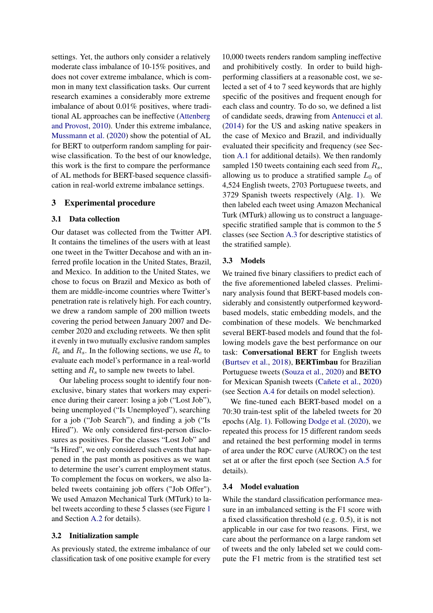settings. Yet, the authors only consider a relatively moderate class imbalance of 10-15% positives, and does not cover extreme imbalance, which is common in many text classification tasks. Our current research examines a considerably more extreme imbalance of about 0.01% positives, where traditional AL approaches can be ineffective [\(Attenberg](#page-8-8) [and Provost,](#page-8-8) [2010\)](#page-8-8). Under this extreme imbalance, [Mussmann et al.](#page-9-4) [\(2020\)](#page-9-4) show the potential of AL for BERT to outperform random sampling for pairwise classification. To the best of our knowledge, this work is the first to compare the performance of AL methods for BERT-based sequence classification in real-world extreme imbalance settings.

## 3 Experimental procedure

## 3.1 Data collection

Our dataset was collected from the Twitter API. It contains the timelines of the users with at least one tweet in the Twitter Decahose and with an inferred profile location in the United States, Brazil, and Mexico. In addition to the United States, we chose to focus on Brazil and Mexico as both of them are middle-income countries where Twitter's penetration rate is relatively high. For each country, we drew a random sample of 200 million tweets covering the period between January 2007 and December 2020 and excluding retweets. We then split it evenly in two mutually exclusive random samples  $R_e$  and  $R_s$ . In the following sections, we use  $R_e$  to evaluate each model's performance in a real-world setting and  $R_s$  to sample new tweets to label.

Our labeling process sought to identify four nonexclusive, binary states that workers may experience during their career: losing a job ("Lost Job"), being unemployed ("Is Unemployed"), searching for a job ("Job Search"), and finding a job ("Is Hired"). We only considered first-person disclosures as positives. For the classes "Lost Job" and "Is Hired", we only considered such events that happened in the past month as positives as we want to determine the user's current employment status. To complement the focus on workers, we also labeled tweets containing job offers ("Job Offer"). We used Amazon Mechanical Turk (MTurk) to label tweets according to these 5 classes (see Figure [1](#page-0-0) and Section [A.2](#page-11-0) for details).

#### <span id="page-2-0"></span>3.2 Initialization sample

As previously stated, the extreme imbalance of our classification task of one positive example for every 10,000 tweets renders random sampling ineffective and prohibitively costly. In order to build highperforming classifiers at a reasonable cost, we selected a set of 4 to 7 seed keywords that are highly specific of the positives and frequent enough for each class and country. To do so, we defined a list of candidate seeds, drawing from [Antenucci et al.](#page-8-7) [\(2014\)](#page-8-7) for the US and asking native speakers in the case of Mexico and Brazil, and individually evaluated their specificity and frequency (see Section [A.1](#page-11-1) for additional details). We then randomly sampled 150 tweets containing each seed from  $R_s$ , allowing us to produce a stratified sample  $L_0$  of 4,524 English tweets, 2703 Portuguese tweets, and 3729 Spanish tweets respectively (Alg. [1\)](#page-3-0). We then labeled each tweet using Amazon Mechanical Turk (MTurk) allowing us to construct a languagespecific stratified sample that is common to the 5 classes (see Section [A.3](#page-11-2) for descriptive statistics of the stratified sample).

#### <span id="page-2-1"></span>3.3 Models

We trained five binary classifiers to predict each of the five aforementioned labeled classes. Preliminary analysis found that BERT-based models considerably and consistently outperformed keywordbased models, static embedding models, and the combination of these models. We benchmarked several BERT-based models and found that the following models gave the best performance on our task: Conversational BERT for English tweets [\(Burtsev et al.,](#page-8-9) [2018\)](#page-8-9), BERTimbau for Brazilian Portuguese tweets [\(Souza et al.,](#page-10-7) [2020\)](#page-10-7) and BETO for Mexican Spanish tweets [\(Cañete et al.,](#page-8-10) [2020\)](#page-8-10) (see Section [A.4](#page-12-0) for details on model selection).

We fine-tuned each BERT-based model on a 70:30 train-test split of the labeled tweets for 20 epochs (Alg. [1\)](#page-3-0). Following [Dodge et al.](#page-8-11) [\(2020\)](#page-8-11), we repeated this process for 15 different random seeds and retained the best performing model in terms of area under the ROC curve (AUROC) on the test set at or after the first epoch (see Section [A.5](#page-13-0) for details).

#### <span id="page-2-2"></span>3.4 Model evaluation

While the standard classification performance measure in an imbalanced setting is the F1 score with a fixed classification threshold (e.g. 0.5), it is not applicable in our case for two reasons. First, we care about the performance on a large random set of tweets and the only labeled set we could compute the F1 metric from is the stratified test set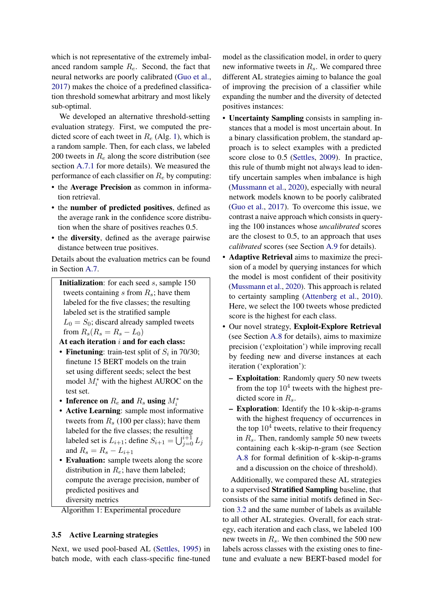which is not representative of the extremely imbalanced random sample  $R_e$ . Second, the fact that neural networks are poorly calibrated [\(Guo et al.,](#page-9-16) [2017\)](#page-9-16) makes the choice of a predefined classification threshold somewhat arbitrary and most likely sub-optimal.

We developed an alternative threshold-setting evaluation strategy. First, we computed the predicted score of each tweet in  $R_e$  (Alg. [1\)](#page-3-0), which is a random sample. Then, for each class, we labeled 200 tweets in  $R_e$  along the score distribution (see section [A.7.1](#page-14-0) for more details). We measured the performance of each classifier on  $R_e$  by computing:

- the Average Precision as common in information retrieval.
- the number of predicted positives, defined as the average rank in the confidence score distribution when the share of positives reaches 0.5.
- the diversity, defined as the average pairwise distance between true positives.

Details about the evaluation metrics can be found in Section [A.7.](#page-16-0)

Initialization: for each seed s, sample 150 tweets containing s from  $R_s$ ; have them labeled for the five classes; the resulting labeled set is the stratified sample  $L_0 = S_0$ ; discard already sampled tweets from  $R_s(R_s = R_s - L_0)$ 

- At each iteration  $i$  and for each class:
- Finetuning: train-test split of  $S_i$  in 70/30; finetune 15 BERT models on the train set using different seeds; select the best model  $M_i^*$  with the highest AUROC on the test set.
- Inference on  $R_e$  and  $R_s$  using  $M_i^*$
- Active Learning: sample most informative tweets from  $R_s$  (100 per class); have them labeled for the five classes; the resulting labeled set is  $L_{i+1}$ ; define  $S_{i+1} = \bigcup_{j=0}^{i+1} L_j$ and  $R_s = R_s - L_{i+1}$
- Evaluation: sample tweets along the score distribution in  $R_e$ ; have them labeled; compute the average precision, number of predicted positives and diversity metrics

<span id="page-3-0"></span>Algorithm 1: Experimental procedure

## <span id="page-3-1"></span>3.5 Active Learning strategies

Next, we used pool-based AL [\(Settles,](#page-10-3) [1995\)](#page-10-3) in batch mode, with each class-specific fine-tuned model as the classification model, in order to query new informative tweets in  $R_s$ . We compared three different AL strategies aiming to balance the goal of improving the precision of a classifier while expanding the number and the diversity of detected positives instances:

- Uncertainty Sampling consists in sampling instances that a model is most uncertain about. In a binary classification problem, the standard approach is to select examples with a predicted score close to 0.5 [\(Settles,](#page-10-8) [2009\)](#page-10-8). In practice, this rule of thumb might not always lead to identify uncertain samples when imbalance is high [\(Mussmann et al.,](#page-9-4) [2020\)](#page-9-4), especially with neural network models known to be poorly calibrated [\(Guo et al.,](#page-9-16) [2017\)](#page-9-16). To overcome this issue, we contrast a naive approach which consists in querying the 100 instances whose *uncalibrated* scores are the closest to 0.5, to an approach that uses *calibrated* scores (see Section [A.9](#page-17-0) for details).
- Adaptive Retrieval aims to maximize the precision of a model by querying instances for which the model is most confident of their positivity [\(Mussmann et al.,](#page-9-4) [2020\)](#page-9-4). This approach is related to certainty sampling [\(Attenberg et al.,](#page-8-12) [2010\)](#page-8-12). Here, we select the 100 tweets whose predicted score is the highest for each class.
- Our novel strategy, Exploit-Explore Retrieval (see Section [A.8](#page-17-1) for details), aims to maximize precision ('exploitation') while improving recall by feeding new and diverse instances at each iteration ('exploration'):
	- Exploitation: Randomly query 50 new tweets from the top  $10^4$  tweets with the highest predicted score in  $R_s$ .
	- Exploration: Identify the 10 k-skip-n-grams with the highest frequency of occurrences in the top  $10^4$  tweets, relative to their frequency in  $R_s$ . Then, randomly sample 50 new tweets containing each k-skip-n-gram (see Section [A.8](#page-17-1) for formal definition of k-skip-n-grams and a discussion on the choice of threshold).

Additionally, we compared these AL strategies to a supervised Stratified Sampling baseline, that consists of the same initial motifs defined in Section [3.2](#page-2-0) and the same number of labels as available to all other AL strategies. Overall, for each strategy, each iteration and each class, we labeled 100 new tweets in  $R_s$ . We then combined the 500 new labels across classes with the existing ones to finetune and evaluate a new BERT-based model for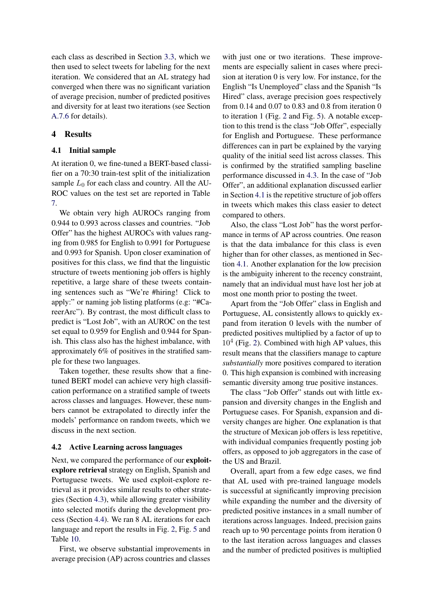each class as described in Section [3.3,](#page-2-1) which we then used to select tweets for labeling for the next iteration. We considered that an AL strategy had converged when there was no significant variation of average precision, number of predicted positives and diversity for at least two iterations (see Section [A.7.6](#page-16-1) for details).

## 4 Results

## <span id="page-4-0"></span>4.1 Initial sample

At iteration 0, we fine-tuned a BERT-based classifier on a 70:30 train-test split of the initialization sample  $L_0$  for each class and country. All the AU-ROC values on the test set are reported in Table [7.](#page-15-0)

We obtain very high AUROCs ranging from 0.944 to 0.993 across classes and countries. "Job Offer" has the highest AUROCs with values ranging from 0.985 for English to 0.991 for Portuguese and 0.993 for Spanish. Upon closer examination of positives for this class, we find that the linguistic structure of tweets mentioning job offers is highly repetitive, a large share of these tweets containing sentences such as "We're #hiring! Click to apply:" or naming job listing platforms (e.g: "#CareerArc"). By contrast, the most difficult class to predict is "Lost Job", with an AUROC on the test set equal to 0.959 for English and 0.944 for Spanish. This class also has the highest imbalance, with approximately 6% of positives in the stratified sample for these two languages.

Taken together, these results show that a finetuned BERT model can achieve very high classification performance on a stratified sample of tweets across classes and languages. However, these numbers cannot be extrapolated to directly infer the models' performance on random tweets, which we discuss in the next section.

#### <span id="page-4-1"></span>4.2 Active Learning across languages

Next, we compared the performance of our exploitexplore retrieval strategy on English, Spanish and Portuguese tweets. We used exploit-explore retrieval as it provides similar results to other strategies (Section [4.3\)](#page-5-0), while allowing greater visibility into selected motifs during the development process (Section [4.4\)](#page-6-0). We ran 8 AL iterations for each language and report the results in Fig. [2,](#page-5-1) Fig. [5](#page-19-0) and Table [10.](#page-22-0)

First, we observe substantial improvements in average precision (AP) across countries and classes with just one or two iterations. These improvements are especially salient in cases where precision at iteration 0 is very low. For instance, for the English "Is Unemployed" class and the Spanish "Is Hired" class, average precision goes respectively from 0.14 and 0.07 to 0.83 and 0.8 from iteration 0 to iteration 1 (Fig. [2](#page-5-1) and Fig. [5\)](#page-19-0). A notable exception to this trend is the class "Job Offer", especially for English and Portuguese. These performance differences can in part be explained by the varying quality of the initial seed list across classes. This is confirmed by the stratified sampling baseline performance discussed in [4.3.](#page-5-0) In the case of "Job Offer", an additional explanation discussed earlier in Section [4.1](#page-4-0) is the repetitive structure of job offers in tweets which makes this class easier to detect compared to others.

Also, the class "Lost Job" has the worst performance in terms of AP across countries. One reason is that the data imbalance for this class is even higher than for other classes, as mentioned in Section [4.1.](#page-4-0) Another explanation for the low precision is the ambiguity inherent to the recency constraint, namely that an individual must have lost her job at most one month prior to posting the tweet.

Apart from the "Job Offer" class in English and Portuguese, AL consistently allows to quickly expand from iteration 0 levels with the number of predicted positives multiplied by a factor of up to  $10<sup>4</sup>$  (Fig. [2\)](#page-5-1). Combined with high AP values, this result means that the classifiers manage to capture *substantially* more positives compared to iteration 0. This high expansion is combined with increasing semantic diversity among true positive instances.

The class "Job Offer" stands out with little expansion and diversity changes in the English and Portuguese cases. For Spanish, expansion and diversity changes are higher. One explanation is that the structure of Mexican job offers is less repetitive, with individual companies frequently posting job offers, as opposed to job aggregators in the case of the US and Brazil.

Overall, apart from a few edge cases, we find that AL used with pre-trained language models is successful at significantly improving precision while expanding the number and the diversity of predicted positive instances in a small number of iterations across languages. Indeed, precision gains reach up to 90 percentage points from iteration 0 to the last iteration across languages and classes and the number of predicted positives is multiplied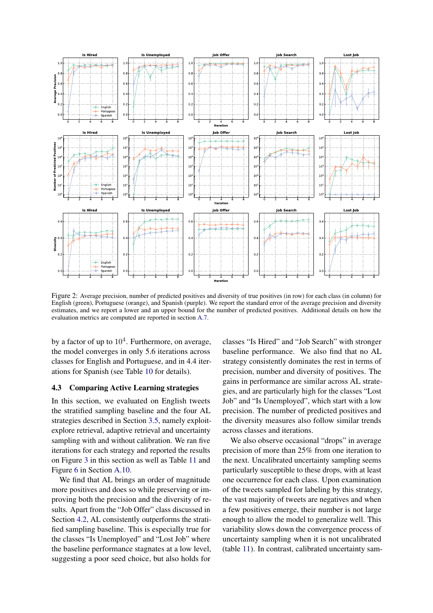<span id="page-5-1"></span>

Figure 2: Average precision, number of predicted positives and diversity of true positives (in row) for each class (in column) for English (green), Portuguese (orange), and Spanish (purple). We report the standard error of the average precision and diversity estimates, and we report a lower and an upper bound for the number of predicted positives. Additional details on how the evaluation metrics are computed are reported in section [A.7.](#page-16-0)

by a factor of up to  $10^4$ . Furthermore, on average, the model converges in only 5.6 iterations across classes for English and Portuguese, and in 4.4 iterations for Spanish (see Table [10](#page-22-0) for details).

## <span id="page-5-0"></span>4.3 Comparing Active Learning strategies

In this section, we evaluated on English tweets the stratified sampling baseline and the four AL strategies described in Section [3.5,](#page-3-1) namely exploitexplore retrieval, adaptive retrieval and uncertainty sampling with and without calibration. We ran five iterations for each strategy and reported the results on Figure [3](#page-6-1) in this section as well as Table [11](#page-23-0) and Figure [6](#page-21-0) in Section [A.10.](#page-17-2)

We find that AL brings an order of magnitude more positives and does so while preserving or improving both the precision and the diversity of results. Apart from the "Job Offer" class discussed in Section [4.2,](#page-4-1) AL consistently outperforms the stratified sampling baseline. This is especially true for the classes "Is Unemployed" and "Lost Job" where the baseline performance stagnates at a low level, suggesting a poor seed choice, but also holds for

classes "Is Hired" and "Job Search" with stronger baseline performance. We also find that no AL strategy consistently dominates the rest in terms of precision, number and diversity of positives. The gains in performance are similar across AL strategies, and are particularly high for the classes "Lost Job" and "Is Unemployed", which start with a low precision. The number of predicted positives and the diversity measures also follow similar trends across classes and iterations.

We also observe occasional "drops" in average precision of more than 25% from one iteration to the next. Uncalibrated uncertainty sampling seems particularly susceptible to these drops, with at least one occurrence for each class. Upon examination of the tweets sampled for labeling by this strategy, the vast majority of tweets are negatives and when a few positives emerge, their number is not large enough to allow the model to generalize well. This variability slows down the convergence process of uncertainty sampling when it is not uncalibrated (table [11\)](#page-23-0). In contrast, calibrated uncertainty sam-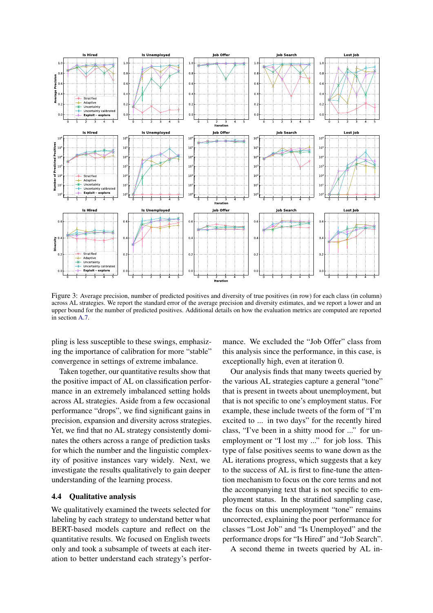<span id="page-6-1"></span>

Figure 3: Average precision, number of predicted positives and diversity of true positives (in row) for each class (in column) across AL strategies. We report the standard error of the average precision and diversity estimates, and we report a lower and an upper bound for the number of predicted positives. Additional details on how the evaluation metrics are computed are reported in section [A.7.](#page-16-0)

pling is less susceptible to these swings, emphasizing the importance of calibration for more "stable" convergence in settings of extreme imbalance.

Taken together, our quantitative results show that the positive impact of AL on classification performance in an extremely imbalanced setting holds across AL strategies. Aside from a few occasional performance "drops", we find significant gains in precision, expansion and diversity across strategies. Yet, we find that no AL strategy consistently dominates the others across a range of prediction tasks for which the number and the linguistic complexity of positive instances vary widely. Next, we investigate the results qualitatively to gain deeper understanding of the learning process.

## <span id="page-6-0"></span>4.4 Qualitative analysis

We qualitatively examined the tweets selected for labeling by each strategy to understand better what BERT-based models capture and reflect on the quantitative results. We focused on English tweets only and took a subsample of tweets at each iteration to better understand each strategy's performance. We excluded the "Job Offer" class from this analysis since the performance, in this case, is exceptionally high, even at iteration 0.

Our analysis finds that many tweets queried by the various AL strategies capture a general "tone" that is present in tweets about unemployment, but that is not specific to one's employment status. For example, these include tweets of the form of "I'm excited to ... in two days" for the recently hired class, "I've been in a shitty mood for ..." for unemployment or "I lost my ..." for job loss. This type of false positives seems to wane down as the AL iterations progress, which suggests that a key to the success of AL is first to fine-tune the attention mechanism to focus on the core terms and not the accompanying text that is not specific to employment status. In the stratified sampling case, the focus on this unemployment "tone" remains uncorrected, explaining the poor performance for classes "Lost Job" and "Is Unemployed" and the performance drops for "Is Hired" and "Job Search".

A second theme in tweets queried by AL in-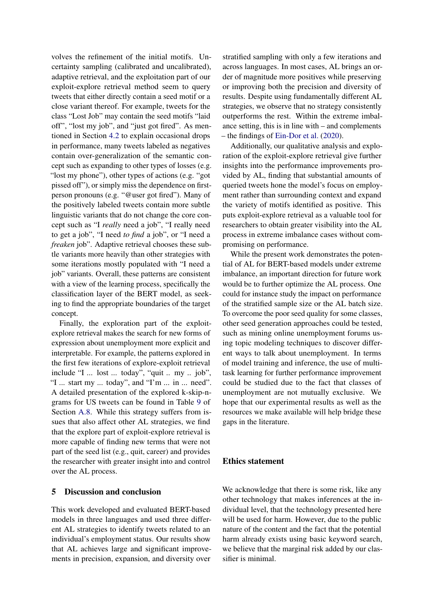volves the refinement of the initial motifs. Uncertainty sampling (calibrated and uncalibrated), adaptive retrieval, and the exploitation part of our exploit-explore retrieval method seem to query tweets that either directly contain a seed motif or a close variant thereof. For example, tweets for the class "Lost Job" may contain the seed motifs "laid off", "lost my job", and "just got fired". As mentioned in Section [4.2](#page-4-1) to explain occasional drops in performance, many tweets labeled as negatives contain over-generalization of the semantic concept such as expanding to other types of losses (e.g. "lost my phone"), other types of actions (e.g. "got pissed off"), or simply miss the dependence on firstperson pronouns (e.g. "@user got fired"). Many of the positively labeled tweets contain more subtle linguistic variants that do not change the core concept such as "I *really* need a job", "I really need to get a job", "I need *to find* a job", or "I need a *freaken* job". Adaptive retrieval chooses these subtle variants more heavily than other strategies with some iterations mostly populated with "I need a job" variants. Overall, these patterns are consistent with a view of the learning process, specifically the classification layer of the BERT model, as seeking to find the appropriate boundaries of the target concept.

Finally, the exploration part of the exploitexplore retrieval makes the search for new forms of expression about unemployment more explicit and interpretable. For example, the patterns explored in the first few iterations of explore-exploit retrieval include "I ... lost ... today", "quit .. my .. job", "I ... start my ... today", and "I'm ... in ... need". A detailed presentation of the explored k-skip-ngrams for US tweets can be found in Table [9](#page-20-0) of Section [A.8.](#page-17-1) While this strategy suffers from issues that also affect other AL strategies, we find that the explore part of exploit-explore retrieval is more capable of finding new terms that were not part of the seed list (e.g., quit, career) and provides the researcher with greater insight into and control over the AL process.

## 5 Discussion and conclusion

This work developed and evaluated BERT-based models in three languages and used three different AL strategies to identify tweets related to an individual's employment status. Our results show that AL achieves large and significant improvements in precision, expansion, and diversity over

stratified sampling with only a few iterations and across languages. In most cases, AL brings an order of magnitude more positives while preserving or improving both the precision and diversity of results. Despite using fundamentally different AL strategies, we observe that no strategy consistently outperforms the rest. Within the extreme imbalance setting, this is in line with – and complements – the findings of [Ein-Dor et al.](#page-8-3) [\(2020\)](#page-8-3).

Additionally, our qualitative analysis and exploration of the exploit-explore retrieval give further insights into the performance improvements provided by AL, finding that substantial amounts of queried tweets hone the model's focus on employment rather than surrounding context and expand the variety of motifs identified as positive. This puts exploit-explore retrieval as a valuable tool for researchers to obtain greater visibility into the AL process in extreme imbalance cases without compromising on performance.

While the present work demonstrates the potential of AL for BERT-based models under extreme imbalance, an important direction for future work would be to further optimize the AL process. One could for instance study the impact on performance of the stratified sample size or the AL batch size. To overcome the poor seed quality for some classes, other seed generation approaches could be tested, such as mining online unemployment forums using topic modeling techniques to discover different ways to talk about unemployment. In terms of model training and inference, the use of multitask learning for further performance improvement could be studied due to the fact that classes of unemployment are not mutually exclusive. We hope that our experimental results as well as the resources we make available will help bridge these gaps in the literature.

## Ethics statement

We acknowledge that there is some risk, like any other technology that makes inferences at the individual level, that the technology presented here will be used for harm. However, due to the public nature of the content and the fact that the potential harm already exists using basic keyword search, we believe that the marginal risk added by our classifier is minimal.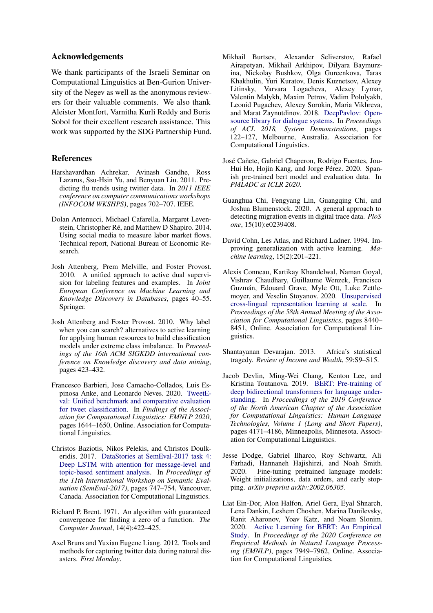## Acknowledgements

We thank participants of the Israeli Seminar on Computational Linguistics at Ben-Gurion University of the Negev as well as the anonymous reviewers for their valuable comments. We also thank Aleister Montfort, Varnitha Kurli Reddy and Boris Sobol for their excellent research assistance. This work was supported by the SDG Partnership Fund.

## References

- <span id="page-8-4"></span>Harshavardhan Achrekar, Avinash Gandhe, Ross Lazarus, Ssu-Hsin Yu, and Benyuan Liu. 2011. Predicting flu trends using twitter data. In *2011 IEEE conference on computer communications workshops (INFOCOM WKSHPS)*, pages 702–707. IEEE.
- <span id="page-8-7"></span>Dolan Antenucci, Michael Cafarella, Margaret Levenstein, Christopher Ré, and Matthew D Shapiro. 2014. Using social media to measure labor market flows. Technical report, National Bureau of Economic Research.
- <span id="page-8-12"></span>Josh Attenberg, Prem Melville, and Foster Provost. 2010. A unified approach to active dual supervision for labeling features and examples. In *Joint European Conference on Machine Learning and Knowledge Discovery in Databases*, pages 40–55. Springer.
- <span id="page-8-8"></span>Josh Attenberg and Foster Provost. 2010. Why label when you can search? alternatives to active learning for applying human resources to build classification models under extreme class imbalance. In *Proceedings of the 16th ACM SIGKDD international conference on Knowledge discovery and data mining*, pages 423–432.
- <span id="page-8-13"></span>Francesco Barbieri, Jose Camacho-Collados, Luis Espinosa Anke, and Leonardo Neves. 2020. [TweetE](https://doi.org/10.18653/v1/2020.findings-emnlp.148)[val: Unified benchmark and comparative evaluation](https://doi.org/10.18653/v1/2020.findings-emnlp.148) [for tweet classification.](https://doi.org/10.18653/v1/2020.findings-emnlp.148) In *Findings of the Association for Computational Linguistics: EMNLP 2020*, pages 1644–1650, Online. Association for Computational Linguistics.
- <span id="page-8-15"></span>Christos Baziotis, Nikos Pelekis, and Christos Doulkeridis. 2017. [DataStories at SemEval-2017 task 4:](https://doi.org/10.18653/v1/S17-2126) [Deep LSTM with attention for message-level and](https://doi.org/10.18653/v1/S17-2126) [topic-based sentiment analysis.](https://doi.org/10.18653/v1/S17-2126) In *Proceedings of the 11th International Workshop on Semantic Evaluation (SemEval-2017)*, pages 747–754, Vancouver, Canada. Association for Computational Linguistics.
- <span id="page-8-16"></span>Richard P. Brent. 1971. An algorithm with guaranteed convergence for finding a zero of a function. *The Computer Journal*, 14(4):422–425.
- <span id="page-8-5"></span>Axel Bruns and Yuxian Eugene Liang. 2012. Tools and methods for capturing twitter data during natural disasters. *First Monday*.
- <span id="page-8-9"></span>Mikhail Burtsev, Alexander Seliverstov, Rafael Airapetyan, Mikhail Arkhipov, Dilyara Baymurzina, Nickolay Bushkov, Olga Gureenkova, Taras Khakhulin, Yuri Kuratov, Denis Kuznetsov, Alexey Litinsky, Varvara Logacheva, Alexey Lymar, Valentin Malykh, Maxim Petrov, Vadim Polulyakh, Leonid Pugachev, Alexey Sorokin, Maria Vikhreva, and Marat Zaynutdinov. 2018. [DeepPavlov: Open](https://doi.org/10.18653/v1/P18-4021)[source library for dialogue systems.](https://doi.org/10.18653/v1/P18-4021) In *Proceedings of ACL 2018, System Demonstrations*, pages 122–127, Melbourne, Australia. Association for Computational Linguistics.
- <span id="page-8-10"></span>José Cañete, Gabriel Chaperon, Rodrigo Fuentes, Jou-Hui Ho, Hojin Kang, and Jorge Pérez. 2020. Spanish pre-trained bert model and evaluation data. In *PML4DC at ICLR 2020*.
- <span id="page-8-6"></span>Guanghua Chi, Fengyang Lin, Guangqing Chi, and Joshua Blumenstock. 2020. A general approach to detecting migration events in digital trace data. *PloS one*, 15(10):e0239408.
- <span id="page-8-1"></span>David Cohn, Les Atlas, and Richard Ladner. 1994. Improving generalization with active learning. *Machine learning*, 15(2):201–221.
- <span id="page-8-14"></span>Alexis Conneau, Kartikay Khandelwal, Naman Goyal, Vishrav Chaudhary, Guillaume Wenzek, Francisco Guzmán, Edouard Grave, Myle Ott, Luke Zettlemoyer, and Veselin Stoyanov. 2020. [Unsupervised](https://doi.org/10.18653/v1/2020.acl-main.747) [cross-lingual representation learning at scale.](https://doi.org/10.18653/v1/2020.acl-main.747) In *Proceedings of the 58th Annual Meeting of the Association for Computational Linguistics*, pages 8440– 8451, Online. Association for Computational Linguistics.
- <span id="page-8-0"></span>Shantayanan Devarajan. 2013. Africa's statistical tragedy. *Review of Income and Wealth*, 59:S9–S15.
- <span id="page-8-2"></span>Jacob Devlin, Ming-Wei Chang, Kenton Lee, and Kristina Toutanova. 2019. [BERT: Pre-training of](https://doi.org/10.18653/v1/N19-1423) [deep bidirectional transformers for language under](https://doi.org/10.18653/v1/N19-1423)[standing.](https://doi.org/10.18653/v1/N19-1423) In *Proceedings of the 2019 Conference of the North American Chapter of the Association for Computational Linguistics: Human Language Technologies, Volume 1 (Long and Short Papers)*, pages 4171–4186, Minneapolis, Minnesota. Association for Computational Linguistics.
- <span id="page-8-11"></span>Jesse Dodge, Gabriel Ilharco, Roy Schwartz, Ali Farhadi, Hannaneh Hajishirzi, and Noah Smith. 2020. Fine-tuning pretrained language models: Weight initializations, data orders, and early stopping. *arXiv preprint arXiv:2002.06305*.
- <span id="page-8-3"></span>Liat Ein-Dor, Alon Halfon, Ariel Gera, Eyal Shnarch, Lena Dankin, Leshem Choshen, Marina Danilevsky, Ranit Aharonov, Yoav Katz, and Noam Slonim. 2020. [Active Learning for BERT: An Empirical](https://doi.org/10.18653/v1/2020.emnlp-main.638) [Study.](https://doi.org/10.18653/v1/2020.emnlp-main.638) In *Proceedings of the 2020 Conference on Empirical Methods in Natural Language Processing (EMNLP)*, pages 7949–7962, Online. Association for Computational Linguistics.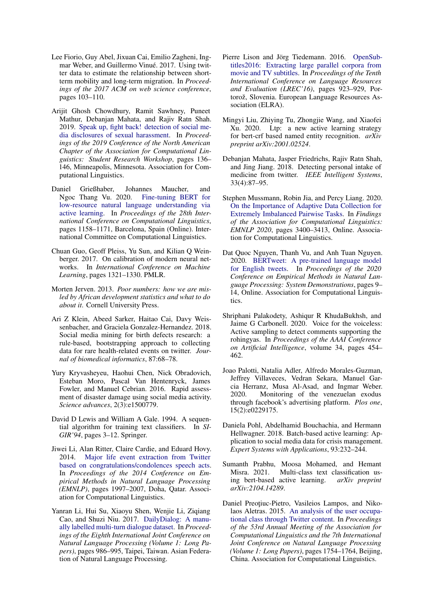- <span id="page-9-8"></span>Lee Fiorio, Guy Abel, Jixuan Cai, Emilio Zagheni, Ingmar Weber, and Guillermo Vinué. 2017. Using twitter data to estimate the relationship between shortterm mobility and long-term migration. In *Proceedings of the 2017 ACM on web science conference*, pages 103–110.
- <span id="page-9-12"></span>Arijit Ghosh Chowdhury, Ramit Sawhney, Puneet Mathur, Debanjan Mahata, and Rajiv Ratn Shah. 2019. [Speak up, fight back! detection of social me](https://doi.org/10.18653/v1/N19-3018)[dia disclosures of sexual harassment.](https://doi.org/10.18653/v1/N19-3018) In *Proceedings of the 2019 Conference of the North American Chapter of the Association for Computational Linguistics: Student Research Workshop*, pages 136– 146, Minneapolis, Minnesota. Association for Computational Linguistics.
- <span id="page-9-14"></span>Daniel Grießhaber, Johannes Maucher, and Ngoc Thang Vu. 2020. [Fine-tuning BERT for](https://doi.org/10.18653/v1/2020.coling-main.100) [low-resource natural language understanding via](https://doi.org/10.18653/v1/2020.coling-main.100) [active learning.](https://doi.org/10.18653/v1/2020.coling-main.100) In *Proceedings of the 28th International Conference on Computational Linguistics*, pages 1158–1171, Barcelona, Spain (Online). International Committee on Computational Linguistics.
- <span id="page-9-16"></span>Chuan Guo, Geoff Pleiss, Yu Sun, and Kilian Q Weinberger. 2017. On calibration of modern neural networks. In *International Conference on Machine Learning*, pages 1321–1330. PMLR.
- <span id="page-9-0"></span>Morten Jerven. 2013. *Poor numbers: how we are misled by African development statistics and what to do about it*. Cornell University Press.
- <span id="page-9-6"></span>Ari Z Klein, Abeed Sarker, Haitao Cai, Davy Weissenbacher, and Graciela Gonzalez-Hernandez. 2018. Social media mining for birth defects research: a rule-based, bootstrapping approach to collecting data for rare health-related events on twitter. *Journal of biomedical informatics*, 87:68–78.
- <span id="page-9-7"></span>Yury Kryvasheyeu, Haohui Chen, Nick Obradovich, Esteban Moro, Pascal Van Hentenryck, James Fowler, and Manuel Cebrian. 2016. Rapid assessment of disaster damage using social media activity. *Science advances*, 2(3):e1500779.
- <span id="page-9-3"></span>David D Lewis and William A Gale. 1994. A sequential algorithm for training text classifiers. In *SI-GIR'94*, pages 3–12. Springer.
- <span id="page-9-10"></span>Jiwei Li, Alan Ritter, Claire Cardie, and Eduard Hovy. 2014. [Major life event extraction from Twitter](https://doi.org/10.3115/v1/D14-1214) [based on congratulations/condolences speech acts.](https://doi.org/10.3115/v1/D14-1214) In *Proceedings of the 2014 Conference on Empirical Methods in Natural Language Processing (EMNLP)*, pages 1997–2007, Doha, Qatar. Association for Computational Linguistics.
- <span id="page-9-17"></span>Yanran Li, Hui Su, Xiaoyu Shen, Wenjie Li, Ziqiang Cao, and Shuzi Niu. 2017. [DailyDialog: A manu](https://www.aclweb.org/anthology/I17-1099)[ally labelled multi-turn dialogue dataset.](https://www.aclweb.org/anthology/I17-1099) In *Proceedings of the Eighth International Joint Conference on Natural Language Processing (Volume 1: Long Papers)*, pages 986–995, Taipei, Taiwan. Asian Federation of Natural Language Processing.
- <span id="page-9-18"></span>Pierre Lison and Jörg Tiedemann. 2016. [OpenSub](https://www.aclweb.org/anthology/L16-1147)[titles2016: Extracting large parallel corpora from](https://www.aclweb.org/anthology/L16-1147) [movie and TV subtitles.](https://www.aclweb.org/anthology/L16-1147) In *Proceedings of the Tenth International Conference on Language Resources and Evaluation (LREC'16)*, pages 923–929, Portorož, Slovenia. European Language Resources Association (ELRA).
- <span id="page-9-13"></span>Mingyi Liu, Zhiying Tu, Zhongjie Wang, and Xiaofei Xu. 2020. Ltp: a new active learning strategy for bert-crf based named entity recognition. *arXiv preprint arXiv:2001.02524*.
- <span id="page-9-5"></span>Debanjan Mahata, Jasper Friedrichs, Rajiv Ratn Shah, and Jing Jiang. 2018. Detecting personal intake of medicine from twitter. *IEEE Intelligent Systems*, 33(4):87–95.
- <span id="page-9-4"></span>Stephen Mussmann, Robin Jia, and Percy Liang. 2020. [On the Importance of Adaptive Data Collection for](https://doi.org/10.18653/v1/2020.findings-emnlp.305) [Extremely Imbalanced Pairwise Tasks.](https://doi.org/10.18653/v1/2020.findings-emnlp.305) In *Findings of the Association for Computational Linguistics: EMNLP 2020*, pages 3400–3413, Online. Association for Computational Linguistics.
- <span id="page-9-19"></span>Dat Quoc Nguyen, Thanh Vu, and Anh Tuan Nguyen. 2020. [BERTweet: A pre-trained language model](https://doi.org/10.18653/v1/2020.emnlp-demos.2) [for English tweets.](https://doi.org/10.18653/v1/2020.emnlp-demos.2) In *Proceedings of the 2020 Conference on Empirical Methods in Natural Language Processing: System Demonstrations*, pages 9– 14, Online. Association for Computational Linguistics.
- <span id="page-9-2"></span>Shriphani Palakodety, Ashiqur R KhudaBukhsh, and Jaime G Carbonell. 2020. Voice for the voiceless: Active sampling to detect comments supporting the rohingyas. In *Proceedings of the AAAI Conference on Artificial Intelligence*, volume 34, pages 454– 462.
- <span id="page-9-9"></span>Joao Palotti, Natalia Adler, Alfredo Morales-Guzman, Jeffrey Villaveces, Vedran Sekara, Manuel Garcia Herranz, Musa Al-Asad, and Ingmar Weber. 2020. Monitoring of the venezuelan exodus through facebook's advertising platform. *Plos one*, 15(2):e0229175.
- <span id="page-9-1"></span>Daniela Pohl, Abdelhamid Bouchachia, and Hermann Hellwagner. 2018. Batch-based active learning: Application to social media data for crisis management. *Expert Systems with Applications*, 93:232–244.
- <span id="page-9-15"></span>Sumanth Prabhu, Moosa Mohamed, and Hemant Misra. 2021. Multi-class text classification using bert-based active learning. *arXiv preprint arXiv:2104.14289*.
- <span id="page-9-11"></span>Daniel Preoțiuc-Pietro, Vasileios Lampos, and Nikolaos Aletras. 2015. [An analysis of the user occupa](https://doi.org/10.3115/v1/P15-1169)[tional class through Twitter content.](https://doi.org/10.3115/v1/P15-1169) In *Proceedings of the 53rd Annual Meeting of the Association for Computational Linguistics and the 7th International Joint Conference on Natural Language Processing (Volume 1: Long Papers)*, pages 1754–1764, Beijing, China. Association for Computational Linguistics.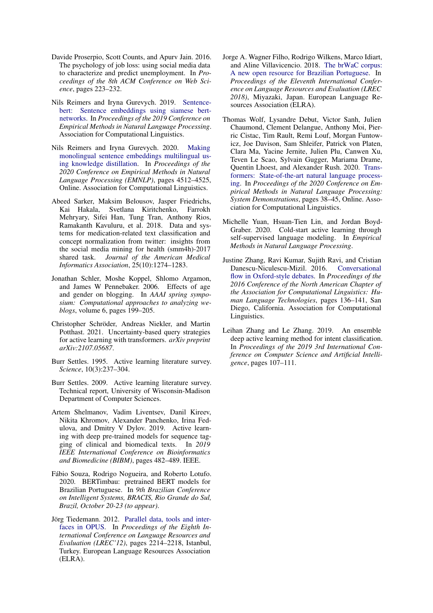- <span id="page-10-1"></span>Davide Proserpio, Scott Counts, and Apurv Jain. 2016. The psychology of job loss: using social media data to characterize and predict unemployment. In *Proceedings of the 8th ACM Conference on Web Science*, pages 223–232.
- <span id="page-10-14"></span>Nils Reimers and Iryna Gurevych. 2019. [Sentence](https://arxiv.org/abs/1908.10084)[bert: Sentence embeddings using siamese bert](https://arxiv.org/abs/1908.10084)[networks.](https://arxiv.org/abs/1908.10084) In *Proceedings of the 2019 Conference on Empirical Methods in Natural Language Processing*. Association for Computational Linguistics.
- <span id="page-10-15"></span>Nils Reimers and Iryna Gurevych. 2020. [Making](https://doi.org/10.18653/v1/2020.emnlp-main.365) [monolingual sentence embeddings multilingual us](https://doi.org/10.18653/v1/2020.emnlp-main.365)[ing knowledge distillation.](https://doi.org/10.18653/v1/2020.emnlp-main.365) In *Proceedings of the 2020 Conference on Empirical Methods in Natural Language Processing (EMNLP)*, pages 4512–4525, Online. Association for Computational Linguistics.
- <span id="page-10-2"></span>Abeed Sarker, Maksim Belousov, Jasper Friedrichs, Kai Hakala, Svetlana Kiritchenko, Farrokh Mehryary, Sifei Han, Tung Tran, Anthony Rios, Ramakanth Kavuluru, et al. 2018. Data and systems for medication-related text classification and concept normalization from twitter: insights from the social media mining for health (smm4h)-2017 shared task. *Journal of the American Medical Informatics Association*, 25(10):1274–1283.
- <span id="page-10-11"></span>Jonathan Schler, Moshe Koppel, Shlomo Argamon, and James W Pennebaker. 2006. Effects of age and gender on blogging. In *AAAI spring symposium: Computational approaches to analyzing weblogs*, volume 6, pages 199–205.
- <span id="page-10-0"></span>Christopher Schröder, Andreas Niekler, and Martin Potthast. 2021. Uncertainty-based query strategies for active learning with transformers. *arXiv preprint arXiv:2107.05687*.
- <span id="page-10-3"></span>Burr Settles. 1995. Active learning literature survey. *Science*, 10(3):237–304.
- <span id="page-10-8"></span>Burr Settles. 2009. Active learning literature survey. Technical report, University of Wisconsin-Madison Department of Computer Sciences.
- <span id="page-10-6"></span>Artem Shelmanov, Vadim Liventsev, Danil Kireev, Nikita Khromov, Alexander Panchenko, Irina Fedulova, and Dmitry V Dylov. 2019. Active learning with deep pre-trained models for sequence tagging of clinical and biomedical texts. In *2019 IEEE International Conference on Bioinformatics and Biomedicine (BIBM)*, pages 482–489. IEEE.
- <span id="page-10-7"></span>Fábio Souza, Rodrigo Nogueira, and Roberto Lotufo. 2020. BERTimbau: pretrained BERT models for Brazilian Portuguese. In *9th Brazilian Conference on Intelligent Systems, BRACIS, Rio Grande do Sul, Brazil, October 20-23 (to appear)*.
- <span id="page-10-12"></span>Jörg Tiedemann. 2012. [Parallel data, tools and inter](http://www.lrec-conf.org/proceedings/lrec2012/pdf/463_Paper.pdf)[faces in OPUS.](http://www.lrec-conf.org/proceedings/lrec2012/pdf/463_Paper.pdf) In *Proceedings of the Eighth International Conference on Language Resources and Evaluation (LREC'12)*, pages 2214–2218, Istanbul, Turkey. European Language Resources Association (ELRA).
- <span id="page-10-13"></span>Jorge A. Wagner Filho, Rodrigo Wilkens, Marco Idiart, and Aline Villavicencio. 2018. [The brWaC corpus:](https://www.aclweb.org/anthology/L18-1686) [A new open resource for Brazilian Portuguese.](https://www.aclweb.org/anthology/L18-1686) In *Proceedings of the Eleventh International Conference on Language Resources and Evaluation (LREC 2018)*, Miyazaki, Japan. European Language Resources Association (ELRA).
- <span id="page-10-9"></span>Thomas Wolf, Lysandre Debut, Victor Sanh, Julien Chaumond, Clement Delangue, Anthony Moi, Pierric Cistac, Tim Rault, Remi Louf, Morgan Funtowicz, Joe Davison, Sam Shleifer, Patrick von Platen, Clara Ma, Yacine Jernite, Julien Plu, Canwen Xu, Teven Le Scao, Sylvain Gugger, Mariama Drame, Quentin Lhoest, and Alexander Rush. 2020. [Trans](https://doi.org/10.18653/v1/2020.emnlp-demos.6)[formers: State-of-the-art natural language process](https://doi.org/10.18653/v1/2020.emnlp-demos.6)[ing.](https://doi.org/10.18653/v1/2020.emnlp-demos.6) In *Proceedings of the 2020 Conference on Empirical Methods in Natural Language Processing: System Demonstrations*, pages 38–45, Online. Association for Computational Linguistics.
- <span id="page-10-4"></span>Michelle Yuan, Hsuan-Tien Lin, and Jordan Boyd-Graber. 2020. Cold-start active learning through self-supervised language modeling. In *Empirical Methods in Natural Language Processing*.
- <span id="page-10-10"></span>Justine Zhang, Ravi Kumar, Sujith Ravi, and Cristian Danescu-Niculescu-Mizil. 2016. [Conversational](https://doi.org/10.18653/v1/N16-1017) [flow in Oxford-style debates.](https://doi.org/10.18653/v1/N16-1017) In *Proceedings of the 2016 Conference of the North American Chapter of the Association for Computational Linguistics: Human Language Technologies*, pages 136–141, San Diego, California. Association for Computational Linguistics.
- <span id="page-10-5"></span>Leihan Zhang and Le Zhang. 2019. An ensemble deep active learning method for intent classification. In *Proceedings of the 2019 3rd International Conference on Computer Science and Artificial Intelligence*, pages 107–111.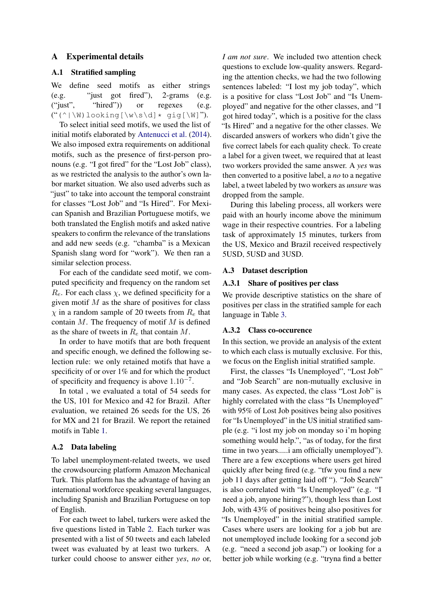## A Experimental details

### <span id="page-11-1"></span>A.1 Stratified sampling

We define seed motifs as either strings (e.g. "just got fired"), 2-grams (e.g. ("just", "hired")) or regexes (e.g. ("(^|\W)looking[\w\s\d]\* gig[\W]").

To select initial seed motifs, we used the list of initial motifs elaborated by [Antenucci et al.](#page-8-7) [\(2014\)](#page-8-7). We also imposed extra requirements on additional motifs, such as the presence of first-person pronouns (e.g. "I got fired" for the "Lost Job" class), as we restricted the analysis to the author's own labor market situation. We also used adverbs such as "just" to take into account the temporal constraint for classes "Lost Job" and "Is Hired". For Mexican Spanish and Brazilian Portuguese motifs, we both translated the English motifs and asked native speakers to confirm the relevance of the translations and add new seeds (e.g. "chamba" is a Mexican Spanish slang word for "work"). We then ran a similar selection process.

For each of the candidate seed motif, we computed specificity and frequency on the random set  $R_e$ . For each class  $\chi$ , we defined specificity for a given motif  $M$  as the share of positives for class  $\chi$  in a random sample of 20 tweets from  $R_e$  that contain  $M$ . The frequency of motif  $M$  is defined as the share of tweets in  $R_e$  that contain M.

In order to have motifs that are both frequent and specific enough, we defined the following selection rule: we only retained motifs that have a specificity of or over 1% and for which the product of specificity and frequency is above  $1.10^{-7}$ .

In total , we evaluated a total of 54 seeds for the US, 101 for Mexico and 42 for Brazil. After evaluation, we retained 26 seeds for the US, 26 for MX and 21 for Brazil. We report the retained motifs in Table [1.](#page-12-1)

## <span id="page-11-0"></span>A.2 Data labeling

To label unemployment-related tweets, we used the crowdsourcing platform Amazon Mechanical Turk. This platform has the advantage of having an international workforce speaking several languages, including Spanish and Brazilian Portuguese on top of English.

For each tweet to label, turkers were asked the five questions listed in Table [2.](#page-13-1) Each turker was presented with a list of 50 tweets and each labeled tweet was evaluated by at least two turkers. A turker could choose to answer either *yes*, *no* or, *I am not sure*. We included two attention check questions to exclude low-quality answers. Regarding the attention checks, we had the two following sentences labeled: "I lost my job today", which is a positive for class "Lost Job" and "Is Unemployed" and negative for the other classes, and "I got hired today", which is a positive for the class "Is Hired" and a negative for the other classes. We discarded answers of workers who didn't give the five correct labels for each quality check. To create a label for a given tweet, we required that at least two workers provided the same answer. A *yes* was then converted to a positive label, a *no* to a negative label, a tweet labeled by two workers as *unsure* was dropped from the sample.

During this labeling process, all workers were paid with an hourly income above the minimum wage in their respective countries. For a labeling task of approximately 15 minutes, turkers from the US, Mexico and Brazil received respectively 5USD, 5USD and 3USD.

#### <span id="page-11-2"></span>A.3 Dataset description

#### A.3.1 Share of positives per class

We provide descriptive statistics on the share of positives per class in the stratified sample for each language in Table [3.](#page-14-1)

#### A.3.2 Class co-occurence

In this section, we provide an analysis of the extent to which each class is mutually exclusive. For this, we focus on the English initial stratified sample.

First, the classes "Is Unemployed", "Lost Job" and "Job Search" are non-mutually exclusive in many cases. As expected, the class "Lost Job" is highly correlated with the class "Is Unemployed" with 95% of Lost Job positives being also positives for "Is Unemployed" in the US initial stratified sample (e.g. "i lost my job on monday so i'm hoping something would help.", "as of today, for the first time in two years.....i am officially unemployed"). There are a few exceptions where users get hired quickly after being fired (e.g. "tfw you find a new job 11 days after getting laid off "). "Job Search" is also correlated with "Is Unemployed" (e.g. "I need a job, anyone hiring?"), though less than Lost Job, with 43% of positives being also positives for "Is Unemployed" in the initial stratified sample. Cases where users are looking for a job but are not unemployed include looking for a second job (e.g. "need a second job asap.") or looking for a better job while working (e.g. "tryna find a better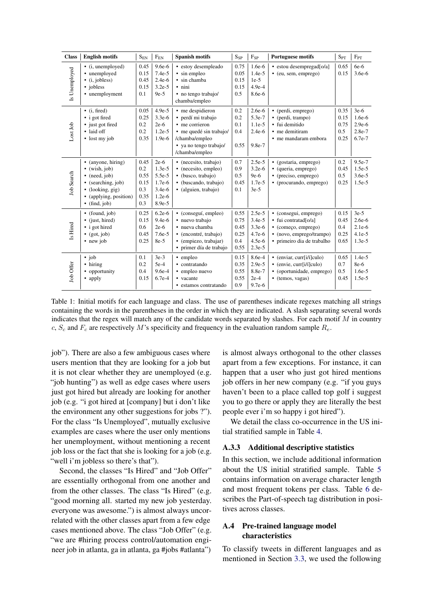<span id="page-12-1"></span>

| <b>Class</b>      | <b>English motifs</b>                                                                                                                                                     | $\mathbf{S}_\mathrm{EN}$                          | $F_{EN}$                                                                     | <b>Spanish motifs</b>                                                                                                                             | $S_{SP}$                                    | $F_{SP}$                                                             | <b>Portuguese motifs</b>                                                                                                       | $S_{PT}$                            | $F_{PT}$                                               |
|-------------------|---------------------------------------------------------------------------------------------------------------------------------------------------------------------------|---------------------------------------------------|------------------------------------------------------------------------------|---------------------------------------------------------------------------------------------------------------------------------------------------|---------------------------------------------|----------------------------------------------------------------------|--------------------------------------------------------------------------------------------------------------------------------|-------------------------------------|--------------------------------------------------------|
| Is Unemployed     | $\bullet$ (i, unemployed)<br>• unemployed<br>$\bullet$ (i, jobless)<br>• jobless<br>• unemployment                                                                        | 0.45<br>0.15<br>0.45<br>0.15<br>0.1               | $9.6e-6$<br>$7.4e-5$<br>$2.4e-6$<br>$3.2e-5$<br>$9e-5$                       | • estoy desempleado<br>• sin empleo<br>· sin chamba<br>· nini<br>• no tengo trabajo/<br>chamba/empleo                                             | 0.75<br>0.05<br>0.15<br>0.15<br>0.5         | $1.6e-6$<br>$1.4e-5$<br>$1e-5$<br>$4.9e-4$<br>8.6e-6                 | • estou desempregad[o/a]<br>• (eu, sem, emprego)                                                                               | 0.65<br>0.15                        | $6e-6$<br>$3.6e-6$                                     |
| Lost Job          | $\bullet$ (i, fired)<br>• i got fired<br>• just got fired<br>· laid off<br>$\bullet$ lost my job                                                                          | 0.05<br>0.25<br>0.2<br>0.2<br>0.35                | $4.9e-5$<br>$3.3e-6$<br>$2e-6$<br>$1.2e-5$<br>$1.9e-6$                       | • me despidieron<br>· perdí mi trabajo<br>• me corrieron<br>• me quedé sin trabajo/<br>/chamba/empleo<br>• ya no tengo trabajo/<br>/chamba/empleo | 0.2<br>0.2<br>0.1<br>0.4<br>0.55            | $2.6e-6$<br>5.3e-7<br>$1.1e-5$<br>$2.4e-6$<br>9.8e-7                 | • (perdi, emprego)<br>• (perdi, trampo)<br>· fui demitido<br>• me demitiram<br>• me mandaram embora                            | 0.35<br>0.15<br>0.75<br>0.5<br>0.25 | $3e-6$<br>1.6e-6<br>$2.9e-6$<br>2.8e-7<br>6.7e-7       |
| <b>Job Search</b> | • (anyone, hiring)<br>$\bullet$ (wish, job)<br>$\bullet$ (need, job)<br>• (searching, job)<br>$\bullet$ (looking, gig)<br>• (applying, position)<br>$\bullet$ (find, job) | 0.45<br>0.2<br>0.55<br>0.15<br>0.3<br>0.35<br>0.3 | $2e-6$<br>$1.3e-5$<br>$5.5e-5$<br>$1.7e-6$<br>$3.4e-6$<br>$1.2e-6$<br>8.9e-5 | • (necesito, trabajo)<br>· (necesito, empleo)<br>• (busco, trabajo)<br>· (buscando, trabajo)<br>· (alguien, trabajo)                              | 0.7<br>0.9<br>0.5<br>0.45<br>0.1            | $2.5e-5$<br>$3.2e-6$<br>$9e-6$<br>$1.7e-5$<br>$3e-5$                 | • (gostaria, emprego)<br>• (queria, emprego)<br>• (preciso, emprego)<br>• (procurando, emprego)                                | 0.2<br>0.45<br>0.5<br>0.25          | 9.5e-7<br>$1.5e-5$<br>$3.6e-5$<br>$1.5e-5$             |
| Is Hired          | • (found, job)<br>• (just, hired)<br>• i got hired<br>$\bullet$ (got, job)<br>• new job                                                                                   | 0.25<br>0.15<br>0.6<br>0.45<br>0.25               | $6.2e-6$<br>$9.4e-6$<br>$2e-6$<br>$7.6e-5$<br>8e-5                           | • (conseguí, empleo)<br>· nuevo trabajo<br>· nueva chamba<br>· (encontré, trabajo)<br>· (empiezo, trabajar)<br>· primer día de trabajo            | 0.55<br>0.75<br>0.45<br>0.25<br>0.4<br>0.55 | $2.5e-5$<br>$3.4e-5$<br>$3.3e-6$<br>$4.7e-6$<br>$4.5e-6$<br>$2.3e-5$ | • (consegui, emprego)<br>· fui contratad[o/a]<br>• (começo, emprego)<br>• (novo, emprego/trampo)<br>· primeiro dia de trabalho | 0.15<br>0.45<br>0.4<br>0.25<br>0.65 | $3e-5$<br>$2.6e-6$<br>$2.1e-6$<br>$4.1e-5$<br>$1.3e-5$ |
| Job Offer         | $\cdot$ job<br>• hiring<br>• opportunity<br>• apply                                                                                                                       | 0.1<br>0.2<br>0.4<br>0.15                         | $3e-3$<br>$5e-4$<br>$9.6e-4$<br>$6.7e-4$                                     | • empleo<br>• contratando<br>• empleo nuevo<br>• vacante<br>· estamos contratando                                                                 | 0.15<br>0.35<br>0.55<br>0.55<br>0.9         | 8.6e-4<br>$2.9e-5$<br>8.8e-7<br>$2e-4$<br>$9.7e-6$                   | $\bullet$ (enviar, curr[i/i]culo)<br>$\bullet$ (envie, curr[i/i]culo)<br>• (oportunidade, emprego)<br>• (temos, vagas)         | 0.65<br>0.7<br>0.5<br>0.45          | $1.4e-5$<br>8e-6<br>1.6e-5<br>$1.5e-5$                 |

Table 1: Initial motifs for each language and class. The use of parentheses indicate regexes matching all strings containing the words in the parentheses in the order in which they are indicated. A slash separating several words indicates that the regex will match any of the candidate words separated by slashes. For each motif  $M$  in country c,  $S_c$  and  $F_c$  are respectively M's specificity and frequency in the evaluation random sample  $R_e$ .

job"). There are also a few ambiguous cases where users mention that they are looking for a job but it is not clear whether they are unemployed (e.g. "job hunting") as well as edge cases where users just got hired but already are looking for another job (e.g. "i got hired at [company] but i don't like the environment any other suggestions for jobs ?"). For the class "Is Unemployed", mutually exclusive examples are cases where the user only mentions her unemployment, without mentioning a recent job loss or the fact that she is looking for a job (e.g. "well i'm jobless so there's that").

Second, the classes "Is Hired" and "Job Offer" are essentially orthogonal from one another and from the other classes. The class "Is Hired" (e.g. "good morning all. started my new job yesterday. everyone was awesome.") is almost always uncorrelated with the other classes apart from a few edge cases mentioned above. The class "Job Offer" (e.g. "we are #hiring process control/automation engineer job in atlanta, ga in atlanta, ga #jobs #atlanta") is almost always orthogonal to the other classes apart from a few exceptions. For instance, it can happen that a user who just got hired mentions job offers in her new company (e.g. "if you guys haven't been to a place called top golf i suggest you to go there or apply they are literally the best people ever i'm so happy i got hired").

We detail the class co-occurrence in the US initial stratified sample in Table [4.](#page-14-2)

#### A.3.3 Additional descriptive statistics

In this section, we include additional information about the US initial stratified sample. Table [5](#page-14-3) contains information on average character length and most frequent tokens per class. Table [6](#page-15-1) describes the Part-of-speech tag distribution in positives across classes.

## <span id="page-12-0"></span>A.4 Pre-trained language model characteristics

To classify tweets in different languages and as mentioned in Section [3.3,](#page-2-1) we used the following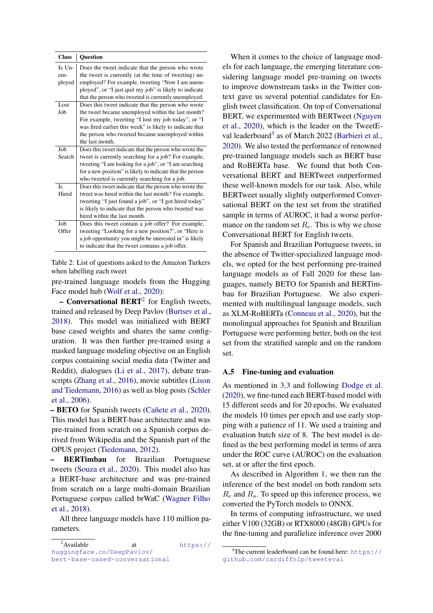<span id="page-13-1"></span>

| <b>Class</b>            | <b>Ouestion</b>                                                                                                                                                                                                                                                                                 |
|-------------------------|-------------------------------------------------------------------------------------------------------------------------------------------------------------------------------------------------------------------------------------------------------------------------------------------------|
| Is Un-<br>em-<br>ployed | Does the tweet indicate that the person who wrote<br>the tweet is currently (at the time of tweeting) un-<br>employed? For example, tweeting "Now I am unem-<br>ployed", or "I just quit my job" is likely to indicate<br>that the person who tweeted is currently unemployed.                  |
| Lost<br>Job             | Does this tweet indicate that the person who wrote<br>the tweet became unemployed within the last month?<br>For example, tweeting "I lost my job today", or "I<br>was fired earlier this week" is likely to indicate that<br>the person who tweeted became unemployed within<br>the last month. |
| Job<br>Search           | Does this tweet indicate that the person who wrote the<br>tweet is currently searching for a job? For example,<br>tweeting "I am looking for a job", or "I am searching<br>for a new position" is likely to indicate that the person<br>who tweeted is currently searching for a job.           |
| Is<br>Hired             | Does this tweet indicate that the person who wrote the<br>tweet was hired within the last month? For example,<br>tweeting "I just found a job", or "I got hired today"<br>is likely to indicate that the person who tweeted was<br>hired within the last month.                                 |
| Job<br>Offer            | Does this tweet contain a job offer? For example,<br>tweeting "Looking for a new position?", or "Here is<br>a job opportunity you might be interested in" is likely<br>to indicate that the tweet contains a job offer.                                                                         |

Table 2: List of questions asked to the Amazon Turkers when labelling each tweet

pre-trained language models from the Hugging Face model hub [\(Wolf et al.,](#page-10-9) [2020\)](#page-10-9):

- Conversational BERT<sup>[2](#page-13-2)</sup> for English tweets, trained and released by Deep Pavlov [\(Burtsev et al.,](#page-8-9) [2018\)](#page-8-9). This model was initialized with BERT base cased weights and shares the same configuration. It was then further pre-trained using a masked language modeling objective on an English corpus containing social media data (Twitter and Reddit), dialogues [\(Li et al.,](#page-9-17) [2017\)](#page-9-17), debate transcripts [\(Zhang et al.,](#page-10-10) [2016\)](#page-10-10), movie subtitles [\(Lison](#page-9-18) [and Tiedemann,](#page-9-18) [2016\)](#page-9-18) as well as blog posts [\(Schler](#page-10-11) [et al.,](#page-10-11) [2006\)](#page-10-11).

– BETO for Spanish tweets [\(Cañete et al.,](#page-8-10) [2020\)](#page-8-10). This model has a BERT-base architecture and was pre-trained from scratch on a Spanish corpus derived from Wikipedia and the Spanish part of the OPUS project [\(Tiedemann,](#page-10-12) [2012\)](#page-10-12).

– BERTimbau for Brazilian Portuguese tweets [\(Souza et al.,](#page-10-7) [2020\)](#page-10-7). This model also has a BERT-base architecture and was pre-trained from scratch on a large multi-domain Brazilian Portuguese corpus called brWaC [\(Wagner Filho](#page-10-13) [et al.,](#page-10-13) [2018\)](#page-10-13).

All three language models have 110 million parameters.

<span id="page-13-2"></span> $2$ Available at [https://](https://huggingface.co/DeepPavlov/bert-base-cased-conversational) [huggingface.co/DeepPavlov/](https://huggingface.co/DeepPavlov/bert-base-cased-conversational) [bert-base-cased-conversational](https://huggingface.co/DeepPavlov/bert-base-cased-conversational)

When it comes to the choice of language models for each language, the emerging literature considering language model pre-training on tweets to improve downstream tasks in the Twitter context gave us several potential candidates for English tweet classification. On top of Conversational BERT, we experimented with BERTweet [\(Nguyen](#page-9-19) [et al.,](#page-9-19) [2020\)](#page-9-19), which is the leader on the TweetE-val leaderboard<sup>[3](#page-13-3)</sup> as of March 2022 [\(Barbieri et al.,](#page-8-13) [2020\)](#page-8-13). We also tested the performance of renowned pre-trained language models such as BERT base and RoBERTa base. We found that both Conversational BERT and BERTweet outperformed these well-known models for our task. Also, while BERTweet usually slightly outperformed Conversational BERT on the test set from the stratified sample in terms of AUROC, it had a worse performance on the random set  $R_e$ . This is why we chose Conversational BERT for English tweets.

For Spanish and Brazilian Portuguese tweets, in the absence of Twitter-specialized language models, we opted for the best performing pre-trained language models as of Fall 2020 for these languages, namely BETO for Spanish and BERTimbau for Brazilian Portuguese. We also experimented with multilingual language models, such as XLM-RoBERTa [\(Conneau et al.,](#page-8-14) [2020\)](#page-8-14), but the monolingual approaches for Spanish and Brazilian Portuguese were performing better, both on the test set from the stratified sample and on the random set.

#### <span id="page-13-0"></span>A.5 Fine-tuning and evaluation

As mentioned in [3.3](#page-2-1) and following [Dodge et al.](#page-8-11) [\(2020\)](#page-8-11), we fine-tuned each BERT-based model with 15 different seeds and for 20 epochs. We evaluated the models 10 times per epoch and use early stopping with a patience of 11. We used a training and evaluation batch size of 8. The best model is defined as the best performing model in terms of area under the ROC curve (AUROC) on the evaluation set, at or after the first epoch.

As described in Algorithm [1,](#page-3-0) we then ran the inference of the best model on both random sets  $R_e$  and  $R_s$ . To speed up this inference process, we converted the PyTorch models to ONNX.

In terms of computing infrastructure, we used either V100 (32GB) or RTX8000 (48GB) GPUs for the fine-tuning and parallelize inference over 2000

<span id="page-13-3"></span> $3$ The current leaderboard can be found here: [https://](https://github.com/cardiffnlp/tweeteval) [github.com/cardiffnlp/tweeteval](https://github.com/cardiffnlp/tweeteval)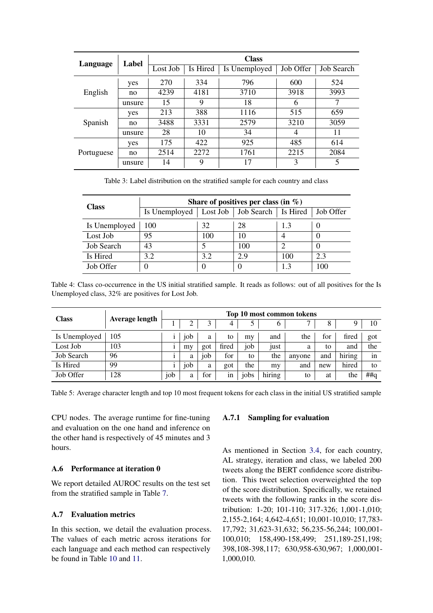<span id="page-14-1"></span>

| Language   | Label  | <b>Class</b> |          |               |           |            |  |  |  |
|------------|--------|--------------|----------|---------------|-----------|------------|--|--|--|
|            |        | Lost Job     | Is Hired | Is Unemployed | Job Offer | Job Search |  |  |  |
|            | yes    | 270          | 334      | 796           | 600       | 524        |  |  |  |
| English    | no     | 4239         | 4181     | 3710          | 3918      | 3993       |  |  |  |
|            | unsure | 15           | 9        | 18            | 6         |            |  |  |  |
|            | yes    | 213          | 388      | 1116          | 515       | 659        |  |  |  |
| Spanish    | no     | 3488         | 3331     | 2579          | 3210      | 3059       |  |  |  |
|            | unsure | 28           | 10       | 34            | 4         | 11         |  |  |  |
|            | yes    | 175          | 422      | 925           | 485       | 614        |  |  |  |
| Portuguese | no     | 2514         | 2272     | 1761          | 2215      | 2084       |  |  |  |
|            | unsure | 14           | 9        | 17            | 3         | 5          |  |  |  |

Table 3: Label distribution on the stratified sample for each country and class

<span id="page-14-2"></span>

| <b>Class</b>      | Share of positives per class (in $\%$ ) |     |                                  |     |           |  |  |  |  |  |
|-------------------|-----------------------------------------|-----|----------------------------------|-----|-----------|--|--|--|--|--|
|                   | Is Unemployed                           |     | Lost Job   Job Search   Is Hired |     | Job Offer |  |  |  |  |  |
| Is Unemployed     | 100                                     | 32  | 28                               | 13  |           |  |  |  |  |  |
| Lost Job          | 95                                      | 100 | 10                               |     |           |  |  |  |  |  |
| <b>Job Search</b> | 43                                      |     | 100                              | っ   |           |  |  |  |  |  |
| Is Hired          | 3.2                                     | 3.2 | 2.9                              | 100 | 2.3       |  |  |  |  |  |
| Job Offer         |                                         |     |                                  |     | 100       |  |  |  |  |  |

Table 4: Class co-occurrence in the US initial stratified sample. It reads as follows: out of all positives for the Is Unemployed class, 32% are positives for Lost Job.

<span id="page-14-3"></span>

| <b>Class</b>      | <b>Average length</b> | Top 10 most common tokens |                 |     |       |      |        |        |     |        |               |
|-------------------|-----------------------|---------------------------|-----------------|-----|-------|------|--------|--------|-----|--------|---------------|
|                   |                       |                           |                 | 3   | 4     |      |        |        | 8   |        | 10            |
| Is Unemployed     | 105                   |                           | 10 <sub>b</sub> | a   | to    | my   | and    | the    | tor | fired  | got           |
| Lost Job          | 103                   |                           | my              | got | fired | job  | just   | a      | to  | and    | the           |
| <b>Job Search</b> | 96                    |                           | a               | job | for   | to   | the    | anyone | and | hiring | $\cdot$<br>1n |
| Is Hired          | 99                    |                           | job             | a   | got   | the  | my     | and    | new | hired  | tο            |
| Job Offer         | 128                   | job                       | a               | for | 1n    | jobs | hiring | to     | at  | the    | $#$ # $q$     |

Table 5: Average character length and top 10 most frequent tokens for each class in the initial US stratified sample

CPU nodes. The average runtime for fine-tuning and evaluation on the one hand and inference on the other hand is respectively of 45 minutes and 3 hours.

# A.6 Performance at iteration 0

We report detailed AUROC results on the test set from the stratified sample in Table [7.](#page-15-0)

# A.7 Evaluation metrics

In this section, we detail the evaluation process. The values of each metric across iterations for each language and each method can respectively be found in Table [10](#page-22-0) and [11.](#page-23-0)

# <span id="page-14-0"></span>A.7.1 Sampling for evaluation

As mentioned in Section [3.4,](#page-2-2) for each country, AL strategy, iteration and class, we labeled 200 tweets along the BERT confidence score distribution. This tweet selection overweighted the top of the score distribution. Specifically, we retained tweets with the following ranks in the score distribution: 1-20; 101-110; 317-326; 1,001-1,010; 2,155-2,164; 4,642-4,651; 10,001-10,010; 17,783- 17,792; 31,623-31,632; 56,235-56,244; 100,001- 100,010; 158,490-158,499; 251,189-251,198; 398,108-398,117; 630,958-630,967; 1,000,001- 1,000,010.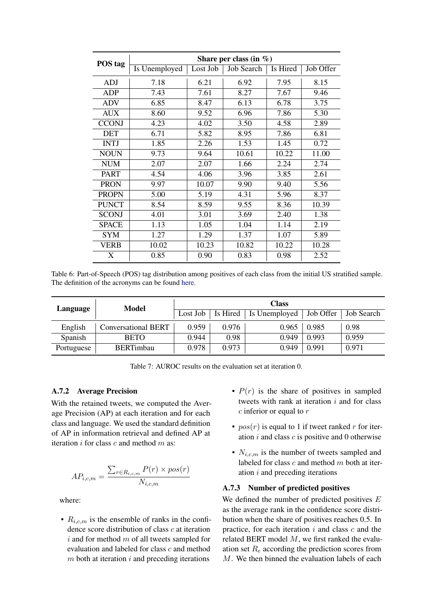<span id="page-15-1"></span>

| POS tag      | Share per class (in $\%$ ) |          |            |          |           |  |  |  |  |
|--------------|----------------------------|----------|------------|----------|-----------|--|--|--|--|
|              | Is Unemployed              | Lost Job | Job Search | Is Hired | Job Offer |  |  |  |  |
| ADJ          | 7.18                       | 6.21     | 6.92       | 7.95     | 8.15      |  |  |  |  |
| ADP          | 7.43                       | 7.61     | 8.27       | 7.67     | 9.46      |  |  |  |  |
| ADV          | 6.85                       | 8.47     | 6.13       | 6.78     | 3.75      |  |  |  |  |
| <b>AUX</b>   | 8.60                       | 9.52     | 6.96       | 7.86     | 5.30      |  |  |  |  |
| <b>CCONJ</b> | 4.23                       | 4.02     | 3.50       | 4.58     | 2.89      |  |  |  |  |
| <b>DET</b>   | 6.71                       | 5.82     | 8.95       | 7.86     | 6.81      |  |  |  |  |
| <b>INTJ</b>  | 1.85                       | 2.26     | 1.53       | 1.45     | 0.72      |  |  |  |  |
| <b>NOUN</b>  | 9.73                       | 9.64     | 10.61      | 10.22    | 11.00     |  |  |  |  |
| <b>NUM</b>   | 2.07                       | 2.07     | 1.66       | 2.24     | 2.74      |  |  |  |  |
| <b>PART</b>  | 4.54                       | 4.06     | 3.96       | 3.85     | 2.61      |  |  |  |  |
| <b>PRON</b>  | 9.97                       | 10.07    | 9.90       | 9.40     | 5.56      |  |  |  |  |
| <b>PROPN</b> | 5.00                       | 5.19     | 4.31       | 5.96     | 8.37      |  |  |  |  |
| <b>PUNCT</b> | 8.54                       | 8.59     | 9.55       | 8.36     | 10.39     |  |  |  |  |
| <b>SCONJ</b> | 4.01                       | 3.01     | 3.69       | 2.40     | 1.38      |  |  |  |  |
| <b>SPACE</b> | 1.13                       | 1.05     | 1.04       | 1.14     | 2.19      |  |  |  |  |
| SYM          | 1.27                       | 1.29     | 1.37       | 1.07     | 5.89      |  |  |  |  |
| VERB         | 10.02                      | 10.23    | 10.82      | 10.22    | 10.28     |  |  |  |  |
| X            | 0.85                       | 0.90     | 0.83       | 0.98     | 2.52      |  |  |  |  |

Table 6: Part-of-Speech (POS) tag distribution among positives of each class from the initial US stratified sample. The definition of the acronyms can be found [here.]((https://universaldependencies.org/u/pos/)

<span id="page-15-0"></span>

| Language   | Model                      | <b>Class</b> |       |                          |           |            |  |  |
|------------|----------------------------|--------------|-------|--------------------------|-----------|------------|--|--|
|            |                            | Lost Job     |       | Is Hired   Is Unemployed | Job Offer | Job Search |  |  |
| English    | <b>Conversational BERT</b> | 0.959        | 0.976 | 0.965                    | 0.985     | 0.98       |  |  |
| Spanish    | <b>BETO</b>                | 0.944        | 0.98  | 0.949                    | 0.993     | 0.959      |  |  |
| Portuguese | <b>BERTimbau</b>           | 0.978        | 0.973 | 0.949                    | 0.991     | 0.971      |  |  |

Table 7: AUROC results on the evaluation set at iteration 0.

#### A.7.2 Average Precision

With the retained tweets, we computed the Average Precision (AP) at each iteration and for each class and language. We used the standard definition of AP in information retrieval and defined AP at iteration *i* for class *c* and method *m* as:

$$
AP_{i,c,m} = \frac{\sum_{r \in R_{i,c,m}} P(r) \times pos(r)}{N_{i,c,m}}
$$

where:

•  $R_{i,c,m}$  is the ensemble of ranks in the confidence score distribution of class c at iteration  $i$  and for method  $m$  of all tweets sampled for evaluation and labeled for class c and method  $m$  both at iteration  $i$  and preceding iterations

- $P(r)$  is the share of positives in sampled tweets with rank at iteration  $i$  and for class  $c$  inferior or equal to  $r$
- $pos(r)$  is equal to 1 if tweet ranked r for iteration  $i$  and class  $c$  is positive and 0 otherwise
- $N_{i,c,m}$  is the number of tweets sampled and labeled for class  $c$  and method  $m$  both at iteration  $i$  and preceding iterations

#### <span id="page-15-2"></span>A.7.3 Number of predicted positives

We defined the number of predicted positives  $E$ as the average rank in the confidence score distribution when the share of positives reaches 0.5. In practice, for each iteration  $i$  and class  $c$  and the related BERT model  $M$ , we first ranked the evaluation set  $R_e$  according the prediction scores from M. We then binned the evaluation labels of each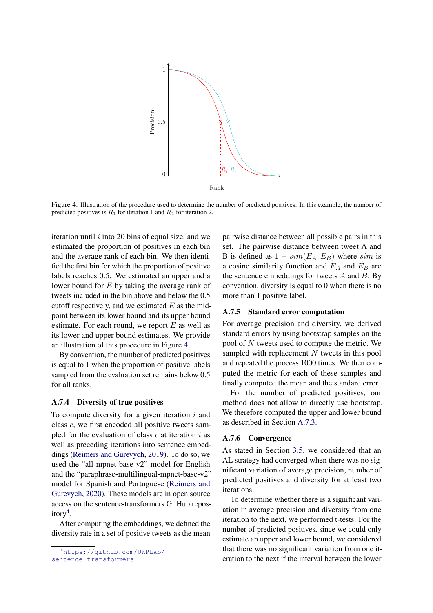<span id="page-16-0"></span>

Figure 4: Illustration of the procedure used to determine the number of predicted positives. In this example, the number of predicted positives is  $R_1$  for iteration 1 and  $R_2$  for iteration 2.

iteration until  $i$  into 20 bins of equal size, and we estimated the proportion of positives in each bin and the average rank of each bin. We then identified the first bin for which the proportion of positive labels reaches 0.5. We estimated an upper and a lower bound for E by taking the average rank of tweets included in the bin above and below the 0.5 cutoff respectively, and we estimated  $E$  as the midpoint between its lower bound and its upper bound estimate. For each round, we report  $E$  as well as its lower and upper bound estimates. We provide an illustration of this procedure in Figure [4.](#page-16-0)

By convention, the number of predicted positives is equal to 1 when the proportion of positive labels sampled from the evaluation set remains below 0.5 for all ranks.

## A.7.4 Diversity of true positives

To compute diversity for a given iteration  $i$  and class c, we first encoded all positive tweets sampled for the evaluation of class  $c$  at iteration  $i$  as well as preceding iterations into sentence embeddings [\(Reimers and Gurevych,](#page-10-14) [2019\)](#page-10-14). To do so, we used the "all-mpnet-base-v2" model for English and the "paraphrase-multilingual-mpnet-base-v2" model for Spanish and Portuguese [\(Reimers and](#page-10-15) [Gurevych,](#page-10-15) [2020\)](#page-10-15). These models are in open source access on the sentence-transformers GitHub repos-itory<sup>[4](#page-16-2)</sup>.

After computing the embeddings, we defined the diversity rate in a set of positive tweets as the mean

<span id="page-16-2"></span><sup>4</sup>[https://github.com/UKPLab/](https://github.com/UKPLab/sentence-transformers) [sentence-transformers](https://github.com/UKPLab/sentence-transformers)

pairwise distance between all possible pairs in this set. The pairwise distance between tweet A and B is defined as  $1 - sim(E_A, E_B)$  where sim is a cosine similarity function and  $E_A$  and  $E_B$  are the sentence embeddings for tweets  $A$  and  $B$ . By convention, diversity is equal to 0 when there is no more than 1 positive label.

#### A.7.5 Standard error computation

For average precision and diversity, we derived standard errors by using bootstrap samples on the pool of  $N$  tweets used to compute the metric. We sampled with replacement  $N$  tweets in this pool and repeated the process 1000 times. We then computed the metric for each of these samples and finally computed the mean and the standard error.

For the number of predicted positives, our method does not allow to directly use bootstrap. We therefore computed the upper and lower bound as described in Section [A.7.3.](#page-15-2)

#### <span id="page-16-1"></span>A.7.6 Convergence

As stated in Section [3.5,](#page-3-1) we considered that an AL strategy had converged when there was no significant variation of average precision, number of predicted positives and diversity for at least two iterations.

To determine whether there is a significant variation in average precision and diversity from one iteration to the next, we performed t-tests. For the number of predicted positives, since we could only estimate an upper and lower bound, we considered that there was no significant variation from one iteration to the next if the interval between the lower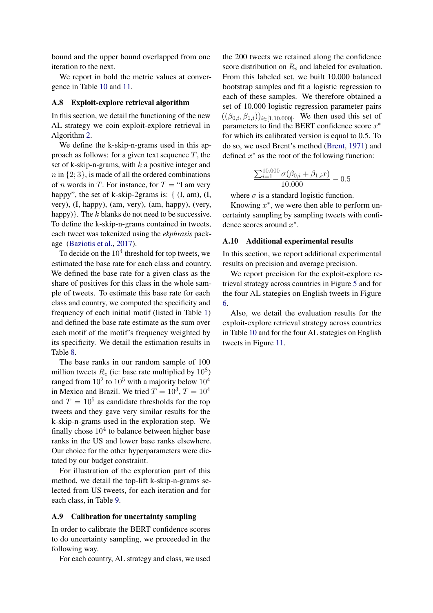bound and the upper bound overlapped from one iteration to the next.

We report in bold the metric values at convergence in Table [10](#page-22-0) and [11.](#page-23-0)

## <span id="page-17-1"></span>A.8 Exploit-explore retrieval algorithm

In this section, we detail the functioning of the new AL strategy we coin exploit-explore retrieval in Algorithm [2.](#page-18-0)

We define the k-skip-n-grams used in this approach as follows: for a given text sequence  $T$ , the set of k-skip-n-grams, with  $k$  a positive integer and  $n$  in  $\{2, 3\}$ , is made of all the ordered combinations of *n* words in *T*. For instance, for  $T = "I$  am very happy", the set of k-skip-2grams is: {  $(I, am)$ ,  $(I, ...)$ very), (I, happy), (am, very), (am, happy), (very, happy)}. The  $k$  blanks do not need to be successive. To define the k-skip-n-grams contained in tweets, each tweet was tokenized using the *ekphrasis* package [\(Baziotis et al.,](#page-8-15) [2017\)](#page-8-15).

To decide on the  $10^4$  threshold for top tweets, we estimated the base rate for each class and country. We defined the base rate for a given class as the share of positives for this class in the whole sample of tweets. To estimate this base rate for each class and country, we computed the specificity and frequency of each initial motif (listed in Table [1\)](#page-12-1) and defined the base rate estimate as the sum over each motif of the motif's frequency weighted by its specificity. We detail the estimation results in Table [8.](#page-19-1)

The base ranks in our random sample of 100 million tweets  $R_e$  (ie: base rate multiplied by  $10^8$ ) ranged from  $10^2$  to  $10^5$  with a majority below  $10^4$ in Mexico and Brazil. We tried  $T = 10^3$ ,  $T = 10^4$ and  $T = 10^5$  as candidate thresholds for the top tweets and they gave very similar results for the k-skip-n-grams used in the exploration step. We finally chose  $10<sup>4</sup>$  to balance between higher base ranks in the US and lower base ranks elsewhere. Our choice for the other hyperparameters were dictated by our budget constraint.

For illustration of the exploration part of this method, we detail the top-lift k-skip-n-grams selected from US tweets, for each iteration and for each class, in Table [9.](#page-20-0)

#### <span id="page-17-0"></span>A.9 Calibration for uncertainty sampling

In order to calibrate the BERT confidence scores to do uncertainty sampling, we proceeded in the following way.

For each country, AL strategy and class, we used

the 200 tweets we retained along the confidence score distribution on  $R_s$  and labeled for evaluation. From this labeled set, we built 10.000 balanced bootstrap samples and fit a logistic regression to each of these samples. We therefore obtained a set of 10.000 logistic regression parameter pairs  $((\beta_{0,i}, \beta_{1,i}))_{i \in [1,10,000]}$ . We then used this set of parameters to find the BERT confidence score  $x^*$ for which its calibrated version is equal to 0.5. To do so, we used Brent's method [\(Brent,](#page-8-16) [1971\)](#page-8-16) and defined  $x^*$  as the root of the following function:

$$
\frac{\sum_{i=1}^{10.000} \sigma(\beta_{0,i} + \beta_{1,i}x)}{10.000} - 0.5
$$

where  $\sigma$  is a standard logistic function.

Knowing  $x^*$ , we were then able to perform uncertainty sampling by sampling tweets with confidence scores around  $x^*$ .

#### <span id="page-17-2"></span>A.10 Additional experimental results

In this section, we report additional experimental results on precision and average precision.

We report precision for the exploit-explore retrieval strategy across countries in Figure [5](#page-19-0) and for the four AL stategies on English tweets in Figure [6.](#page-21-0)

Also, we detail the evaluation results for the exploit-explore retrieval strategy across countries in Table [10](#page-22-0) and for the four AL stategies on English tweets in Figure [11.](#page-23-0)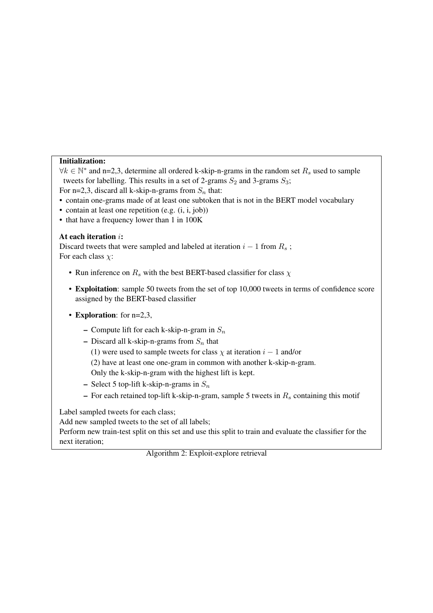# Initialization:

 $\forall k \in \mathbb{N}^*$  and n=2,3, determine all ordered k-skip-n-grams in the random set  $R_s$  used to sample tweets for labelling. This results in a set of 2-grams  $S_2$  and 3-grams  $S_3$ ;

For n=2,3, discard all k-skip-n-grams from  $S_n$  that:

- contain one-grams made of at least one subtoken that is not in the BERT model vocabulary
- contain at least one repetition (e.g. (i, i, job))
- that have a frequency lower than 1 in 100K

## At each iteration i:

Discard tweets that were sampled and labeled at iteration  $i - 1$  from  $R_s$ ; For each class  $\chi$ :

- Run inference on  $R_s$  with the best BERT-based classifier for class  $\chi$
- Exploitation: sample 50 tweets from the set of top 10,000 tweets in terms of confidence score assigned by the BERT-based classifier
- **Exploration**: for n=2,3,
	- Compute lift for each k-skip-n-gram in  $S_n$
	- Discard all k-skip-n-grams from  $S_n$  that
		- (1) were used to sample tweets for class  $\chi$  at iteration  $i 1$  and/or
		- (2) have at least one one-gram in common with another k-skip-n-gram.

Only the k-skip-n-gram with the highest lift is kept.

- Select 5 top-lift k-skip-n-grams in  $S_n$
- For each retained top-lift k-skip-n-gram, sample 5 tweets in  $R_s$  containing this motif

Label sampled tweets for each class;

Add new sampled tweets to the set of all labels;

<span id="page-18-0"></span>Perform new train-test split on this set and use this split to train and evaluate the classifier for the next iteration;

Algorithm 2: Exploit-explore retrieval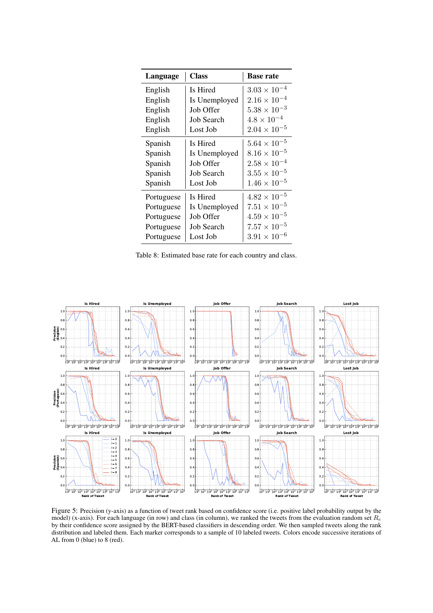<span id="page-19-1"></span>

| Language   | <b>Class</b>  | <b>Base rate</b>      |  |  |
|------------|---------------|-----------------------|--|--|
| English    | Is Hired      | $3.03 \times 10^{-4}$ |  |  |
| English    | Is Unemployed | $2.16 \times 10^{-4}$ |  |  |
| English    | Job Offer     | $5.38 \times 10^{-3}$ |  |  |
| English    | Job Search    | $4.8 \times 10^{-4}$  |  |  |
| English    | Lost Job      | $2.04 \times 10^{-5}$ |  |  |
| Spanish    | Is Hired      | $5.64 \times 10^{-5}$ |  |  |
| Spanish    | Is Unemployed | $8.16 \times 10^{-5}$ |  |  |
| Spanish    | Job Offer     | $2.58 \times 10^{-4}$ |  |  |
| Spanish    | Job Search    | $3.55 \times 10^{-5}$ |  |  |
| Spanish    | Lost Job      | $1.46 \times 10^{-5}$ |  |  |
| Portuguese | Is Hired      | $4.82 \times 10^{-5}$ |  |  |
| Portuguese | Is Unemployed | $7.51 \times 10^{-5}$ |  |  |
| Portuguese | Job Offer     | $4.59 \times 10^{-5}$ |  |  |
| Portuguese | Job Search    | $7.57 \times 10^{-5}$ |  |  |
| Portuguese | Lost Job      | $3.91 \times 10^{-6}$ |  |  |

Table 8: Estimated base rate for each country and class.

<span id="page-19-0"></span>

Figure 5: Precision (y-axis) as a function of tweet rank based on confidence score (i.e. positive label probability output by the model) (x-axis). For each language (in row) and class (in column), we ranked the tweets from the evaluation random set  $R_e$ by their confidence score assigned by the BERT-based classifiers in descending order. We then sampled tweets along the rank distribution and labeled them. Each marker corresponds to a sample of 10 labeled tweets. Colors encode successive iterations of AL from 0 (blue) to 8 (red).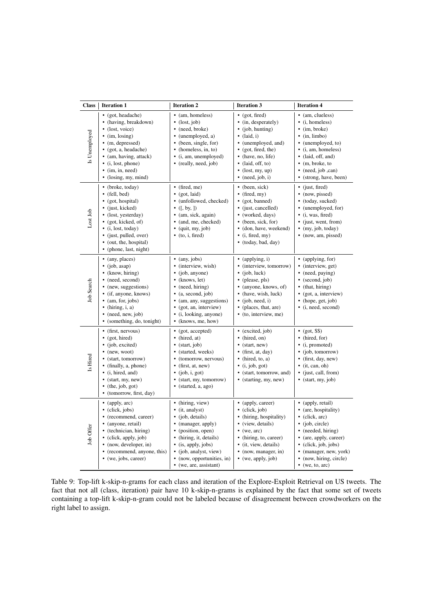<span id="page-20-0"></span>

| <b>Class</b>  | <b>Iteration 1</b>                                                                                                                                                                                                                        | <b>Iteration 2</b>                                                                                                                                                                                                                                | <b>Iteration 3</b>                                                                                                                                                                                                      | <b>Iteration 4</b>                                                                                                                                                                                                                       |  |  |
|---------------|-------------------------------------------------------------------------------------------------------------------------------------------------------------------------------------------------------------------------------------------|---------------------------------------------------------------------------------------------------------------------------------------------------------------------------------------------------------------------------------------------------|-------------------------------------------------------------------------------------------------------------------------------------------------------------------------------------------------------------------------|------------------------------------------------------------------------------------------------------------------------------------------------------------------------------------------------------------------------------------------|--|--|
| Is Unemployed | • (got, headache)<br>(having, breakdown)<br>(lost, voice)<br>(im, losing)<br>(m, depressed)<br>• (got, a, headache)<br>• (am, having, attack)<br>$\bullet$ (i, lost, phone)<br>$\bullet$ (im, in, need)<br>(losing, my, mind)             | • (am, homeless)<br>$\bullet$ (lost, job)<br>• (need, broke)<br>• (unemployed, a)<br>• (been, single, for)<br>• (homeless, in, to)<br>• (i, am, unemployed)<br>• (really, need, job)                                                              | $\bullet$ (got, fired)<br>(in, desperately)<br>(job, hunting)<br>(laid, i)<br>٠<br>(unemployed, and)<br>(got, fired, the)<br>٠<br>(have, no, life)<br>(laid, off, to)<br>(lost, my, up)<br>٠<br>(need, job, i)          | • (am, clueless)<br>( <i>i</i> , homeless)<br>$\bullet$ (im, broke)<br>$\bullet$ (in, limbo)<br>• (unemployed, to)<br>· (i, am, homeless)<br>· (laid, off, and)<br>$\bullet$ (m, broke, to<br>• (need, job ,can)<br>(strong, have, been) |  |  |
| Lost Job      | • (broke, today)<br>• (fell, bed)<br>$\bullet$ (got, hospital)<br>(just, kicked)<br>(lost, yesterday)<br>(got, kicked, of)<br>$\bullet$ (i, lost, today)<br>• (just, pulled, over)<br>• (out, the, hospital)<br>• (phone, last, night)    | $\bullet$ (fired, me)<br>$\bullet$ (got, laid)<br>• (unfollowed, checked)<br>• ([, by, ])<br>• (am, sick, again)<br>• (and, me, checked)<br>$\bullet$ (quit, my, job)<br>$\bullet$ (to, i, fired)                                                 | (been, sick)<br>$(\text{fired}, \text{my})$<br>٠<br>(got, banned)<br>(just, cancelled)<br>(worked, days)<br>$\bullet$<br>(been, sick, for)<br>(don, have, weekend)<br>(i, fired, my)<br>٠<br>· (today, bad, day)        | $\bullet$ (just, fired)<br>• (now, pissed)<br>• (today, sucked)<br>• (unemployed, for)<br>• (i, was, fired)<br>(just, went, from)<br>• (my, job, today)<br>• (now, am, pissed)                                                           |  |  |
| Job Search    | • (any, places)<br>(iob, asap)<br>$\bullet$ (know, hiring)<br>• (need, second)<br>(new, suggestions)<br>• (if, anyone, knows)<br>(am, for, jobs)<br>$\bullet$ (hiring, i, a)<br>(need, new, job)<br>$\bullet$<br>(something, do, tonight) | $\bullet$ (any, jobs)<br>· (interview, wish)<br>• (job, anyone)<br>$\bullet$ (knows, let)<br>• (need, hiring)<br>$\bullet$ (a, second, job)<br>• (am, any, suggestions)<br>• (got, an, interview)<br>• (i, looking, anyone)<br>• (knows, me, how) | $\bullet$ (applying, i)<br>(interview, tomorrow)<br>(job, luck)<br>(please, pls)<br>$\bullet$<br>(anyone, knows, of)<br>(have, wish, luck)<br>$\bullet$<br>(job, need, i)<br>(places, that, are)<br>(to, interview, me) | • (applying, for)<br>· (interview, get)<br>• (need, paying)<br>• (second, job)<br>• (that, hiring)<br>• (got, a, interview)<br>(hope, get, job)<br>• (i, need, second)                                                                   |  |  |
| Is Hired      | • (first, nervous)<br>• (got, hired)<br>(job, excited)<br>$\bullet$ (new, woot)<br>• (start, tomorrow)<br>• (finally, a, phone)<br>• (i, hired, and)<br>(start, my, new)<br>$\bullet$ (the, job, got)<br>• (tomorrow, first, day)         | • (got, accepted)<br>• (hired, at)<br>$\bullet$ (start, job)<br>• (started, weeks)<br>• (tomorrow, nervous)<br>$\bullet$ (first, at, new)<br>$\bullet$ (job, i, got)<br>• (start, my, tomorrow)<br>· (started, a, ago)                            | (excited, job)<br>(hired, on)<br>(start, new)<br>(first, at, day)<br>(hired, to, a)<br>(i, job, got)<br>(start, tomorrow, and)<br>٠<br>(starting, my, new)                                                              | $\bullet$ (got, \$\$)<br>• (hired, for)<br>(i, promoted)<br>• (job, tomorrow)<br>$\bullet$ (first, day, new)<br>$\bullet$ (it, can, oh)<br>· (just, call, from)<br>• (start, my, job)                                                    |  |  |
| Job Offer     | • (apply, $arc$ )<br>$\bullet$ (click, jobs)<br>• (recommend, career)<br>(anyone, retail)<br>• (technician, hiring)<br>• (click, apply, job)<br>• (now, developer, in)<br>(recommend, anyone, this)<br>• (we, jobs, career)               | • (hiring, view)<br>· (it, analyst)<br>• (job, details)<br>• (manager, apply)<br>• (position, open)<br>• (hiring, it, details)<br>• (is, apply, jobs)<br>• (job, analyst, view)<br>• (now, opportunities, in)<br>• (we, are, assistant)           | • (apply, career)<br>(click, job)<br>(hiring, hospitality)<br>٠<br>(view, details)<br>(we, arc)<br>(hiring, to, career)<br>٠<br>(it, view, details)<br>(now, manager, in)<br>$\bullet$ (we, apply, job)                 | • (apply, retail)<br>(are, hospitality)<br>· (click, arc)<br>• (job, circle)<br>• (needed, hiring)<br>• (are, apply, career)<br>• (click, job, jobs)<br>(manager, new, york)<br>(now, hiring, circle)<br>(we, to, arc)                   |  |  |

Table 9: Top-lift k-skip-n-grams for each class and iteration of the Explore-Exploit Retrieval on US tweets. The fact that not all (class, iteration) pair have 10 k-skip-n-grams is explained by the fact that some set of tweets containing a top-lift k-skip-n-gram could not be labeled because of disagreement between crowdworkers on the right label to assign.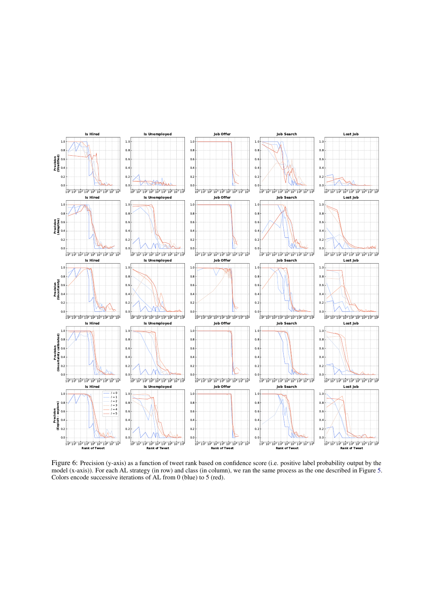<span id="page-21-0"></span>

Figure 6: Precision (y-axis) as a function of tweet rank based on confidence score (i.e. positive label probability output by the model (x-axis)). For each AL strategy (in row) and class (in column), we ran the same process as the one described in Figure [5.](#page-19-0) Colors encode successive iterations of AL from 0 (blue) to 5 (red).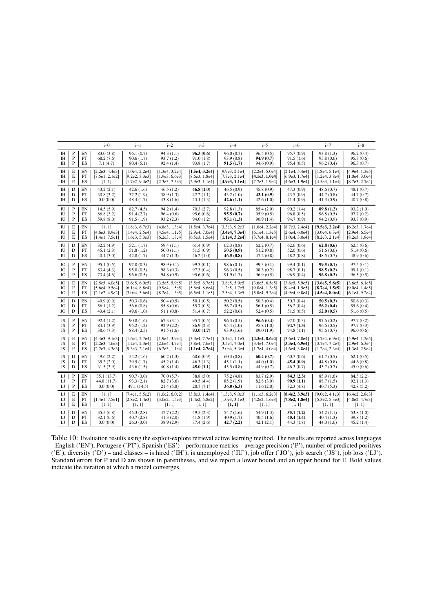<span id="page-22-0"></span>

|           |              |           | $i=0$          | $i=1$          | $i=2$          | $i=3$          | $i=4$          | $i=5$          | $i=6$          | $i=7$          | $i=8$          |
|-----------|--------------|-----------|----------------|----------------|----------------|----------------|----------------|----------------|----------------|----------------|----------------|
| IH        | P            | EN        | 83.0 (3.8)     | 96.1(0.7)      | 94.3(1.1)      | 96.3(0.6)      | 96.0(0.7)      | 96.5(0.5)      | 95.7 (0.9)     | 93.8(1.3)      | 96.2(0.4)      |
| IH        | P            | PT        | 68.2(7.6)      | 90.6(1.7)      | 93.7(1.2)      | 91.0(1.8)      | 93.9 (0.8)     | 94.9 (0.7)     | 91.5(1.6)      | 95.8 (0.6)     | 95.3(0.6)      |
| IH        | $\mathbf{P}$ | <b>ES</b> | 7.1(4.7)       | 80.4(5.1)      | 92.4(1.4)      | 93.8(1.7)      | 91.5(1.7)      | 94.6 (0.9)     | 95.4(0.5)      | 96.2(0.4)      | 96.3(0.7)      |
| <b>IH</b> | E            | EN        | [2.2e3, 4.4e3] | [1.0e4, 2.2e4] | [1.3e4, 3.2e4] | [1.5e4, 3.2e4] | [9.9e3, 2.1e4] | [2.2e4, 5.0e4] | [2.1e4, 5.4e4] | [1.8e4, 5.1e4] | [4.9e4, 1.3e5] |
| IH        | E            | PT        | [7.5e1, 2.1e2] | [9.2e2, 3.3e3] | [1.9e3, 6.6e3] | [8.6e3, 1.8e4] | [7.7e3, 2.1e4] | [4.1e3, 1.0e4] | [6.9e3, 1.7e4] | [1.2e4, 3.8e4] | [1.0e4, 3.0e4] |
| <b>IH</b> | E            | ES        | [1, 1]         | [1.7e2, 9.4e2] | [2.3e3, 7.3e3] | [2.9e3, 1.1e4] | [4.9e3, 1.1e4] | [7.7e3, 1.9e4] | [4.6e3, 1.9e4] | [4.5e3, 1.1e4] | [8.7e3, 2.7e4] |
| IH        | D            | EN        | 43.2(2.1)      | 42.6(1.6)      | 46.5(1.2)      | 46.8(1.0)      | 46.5(0.9)      | 45.8(0.9)      | 47.3(0.9)      | 48.6(0.7)      | 48.1(0.7)      |
| <b>IH</b> | D            | PT        | 30.8(3.2)      | 37.2(1.9)      | 38.9 (1.3)     | 42.2(1.1)      | 43.2(1.0)      | 43.1 (0.9)     | 43.7 (0.9)     | 44.7(0.8)      | 44.7(0.7)      |
| IH        | D            | ES        | 0.0(0.0)       | 48.4 (1.7)     | 43.8(1.6)      | 43.1(1.3)      | 42.6(1.1)      | 42.6(1.0)      | 41.4(0.9)      | 41.3(0.9)      | 40.7(0.8)      |
| IU        | P            | EN        | 14.5(5.9)      | 82.7(4.5)      | 94.2(1.4)      | 70.3(2.7)      | 92.8(1.3)      | 85.4 (2.0)     | 90.2(1.4)      | 89.8(1.2)      | 93.2(1.0)      |
| IU        | $\mathbf P$  | PT        | 86.8 (3.2)     | 91.4(2.7)      | 96.4(0.6)      | 95.6(0.6)      | 95.5(0.7)      | 95.9 (0.5)     | 96.8(0.5)      | 96.8(0.5)      | 97.7(0.2)      |
| IU        | $\mathbf P$  | ES        | 59.8 (8.0)     | 91.5(1.9)      | 93.2(2.3)      | 94.0(1.2)      | 95.1(1.3)      | 90.9 (1.4)     | 94.7 (0.9)     | 94.2 (0.9)     | 93.7 (0.9)     |
| IU        | E            | EN        | [1, 1]         | [1.8e3, 6.7e3] | [4.8e3, 1.3e4] | [1.5e4, 3.7e4] | [3.3e3, 9.2e3] | [1.0e4, 2.2e4] | [8.7e3, 2.4e4] | [9.5e3, 2.2e4] | [6.2e3, 1.7e4] |
| IU        | E            | PT        | [4.6e3, 8.9e3] | [1.4e4, 2.5e4] | [4.5e4, 1.1e5] | [2.9e4, 7.0e4] | [3.4e4, 7.3e4] | [6.1e4, 1.3e5] | [2.6e4, 6.0e4] | [3.0e4, 6.3e4] | [2.9e4, 6.5e4] |
| IU        | E            | ES        | [1.4e1, 7.5e1] | [1.6e3, 5.3e3] | [6.2e3, 1.8e4] | [6.5e3, 1.5e4] | [1.1e4, 3.2e4] | [3.7e4, 8.1e4] | [1.0e4, 3.0e4] | [8.2e3, 2.1e4] | [8.2e3, 1.8e4] |
| IU        | D            | EN        | 32.2 (4.9)     | 52.1(1.7)      | 59.4(1.1)      | 61.4(0.9)      | 62.3(0.8)      | 62.2(0.7)      | 62.6(0.6)      | 62.8(0.6)      | 62.5(0.6)      |
| IU        | D            | PT        | 45.1(2.3)      | 51.8(1.2)      | 50.0(1.1)      | 51.5(0.9)      | 50.5(0.9)      | 51.2(0.8)      | 52.0(0.6)      | 51.6(0.6)      | 51.4(0.6)      |
| IU        | D            | ES        | 40.1(3.0)      | 42.8(1.7)      | 44.7(1.3)      | 46.2(1.0)      | 46.5(0.8)      | 47.2 (0.8)     | 48.2(0.8)      | 48.5(0.7)      | 48.9(0.6)      |
| JO        | ${\bf P}$    | EN        | 95.1(0.5)      | 97.0 (0.3)     | 98.9 (0.1)     | 99.3(0.1)      | 98.6(0.1)      | 99.3 (0.1)     | 99.4 (0.1)     | 99.5(0.1)      | 97.5(0.1)      |
| JO        | P            | PT        | 83.4 (4.3)     | 95.0(0.5)      | 98.3 (0.3)     | 97.3(0.4)      | 96.3(0.5)      | 98.3 (0.2)     | 98.7 (0.1)     | 98.5(0.2)      | 99.1(0.1)      |
| JO        | $\mathbf{P}$ | ES        | 73.4 (4.6)     | 96.6(0.5)      | 94.8 (0.9)     | 95.6(0.6)      | 91.9(1.3)      | 96.9(0.5)      | 96.9(0.4)      | 96.8(0.3)      | 96.5(0.5)      |
| JO.       | E            | EN        | [2.5e5, 4.0e5] | [3.6e5, 6.0e5] | [3.5e5, 5.9e5] | [3.5e5, 6.7e5] | [3.8e5, 5.9e5] | [3.6e5, 6.5e5] | [3.6e5, 5.9e5] | [3.6e5, 5.8e5] | [3.6e5, 6.1e5] |
| JO        | E            | PT        | [5.6e4, 9.5e4] | [6.1e4, 8.8e4] | [9.9e4, 1.5e5] | [5.6e4, 8.6e4] | [1.2e5, 1.7e5] | [9.0e4, 1.3e5] | [9.4e4, 1.5e5] | [8.7e4, 1.5e5] | [9.0e4, 1.4e5] |
| JO        | $\mathbf E$  | ES        | [2.1e2, 4.9e2] | [3.0e4, 5.6e4] | [8.2e4, 1.3e5] | [6.5e4, 1.1e5] | [7.5e4, 1.3e5] | [5.8e4, 9.3e4] | [4.9e4, 9.8e4] | [4.5e4, 8.0e4] | [6.1e4, 9.2e4] |
| JO        | D            | EN        | 49.9 (0.9)     | 50.3(0.6)      | 50.4(0.5)      | 50.1(0.5)      | 50.2(0.5)      | 50.3(0.4)      | 50.7(0.4)      | 50.5(0.3)      | 50.6(0.3)      |
| JO        | D            | PT        | 56.1(1.2)      | 56.6(0.8)      | 55.8 (0.6)     | 55.7(0.5)      | 56.7(0.5)      | 56.1(0.5)      | 56.2(0.4)      | 56.2(0.4)      | 55.6(0.4)      |
| JO        | D            | ES        | 43.4(2.1)      | 49.6(1.0)      | 51.1(0.8)      | 51.4(0.7)      | 52.2(0.6)      | 52.4(0.5)      | 51.5(0.5)      | 52.0(0.5)      | 51.6(0.5)      |
| JS        | P            | EN        | 92.4(1.2)      | 90.8(1.6)      | 67.3(3.1)      | 95.7(0.5)      | 96.3(0.5)      | 96.6 (0.4)     | 97.0(0.3)      | 97.6(0.2)      | 97.7(0.2)      |
| JS        | P            | PT        | 84.1 (3.9)     | 95.2(1.2)      | 92.9(2.2)      | 86.9(2.3)      | 95.4 (1.0)     | 95.8 (1.0)     | 94.7 (1.3)     | 96.6(0.5)      | 97.7 (0.3)     |
| JS        | P            | ES        | 38.6(7.3)      | 88.4 (2.5)     | 91.5(1.6)      | 93.0(1.7)      | 93.9 (1.6)     | 89.0 (1.9)     | 94.8(1.1)      | 95.6(0.7)      | 96.0(0.6)      |
| JS        | Е            | EN        | [4.4e3, 9.1e3] | [1.6e4, 2.7e4] | [1.9e4, 3.9e4] | [3.3e4, 7.7e4] | [5.4e4, 1.1e5] | [4.3e4, 8.6e4] | [3.6e4, 7.0e4] | [3.7e4, 6.9e4] | [5.9e4, 1.2e5] |
| JS        | E            | PT        | [2.2e3, 4.6e3] | [1.2e4, 2.3e4] | [2.6e4, 4.7e4] | [3.8e4, 7.6e4] | [3.5e4, 7.0e4] | [3.4e4, 7.0e4] | [3.3e4, 6.9e4] | [3.7e4, 7.2e4] | [2.9e4, 6.3e4] |
| JS        | E            | ES        | [2.2e3, 4.3e3] | [9.3e3, 2.1e4] | [6.2e3, 1.1e4] | [1.1e4, 2.7e4] | [2.0e4, 5.3e4] | [1.7e4, 4.0e4] | [1.6e4, 3.8e4] | [1.2e4, 2.3e4] | [1.3e4, 2.9e4] |
| JS        | D            | EN        | 49.6(2.2)      | 54.2(1.6)      | 60.2(1.3)      | 60.6(0.9)      | 60.3(0.8)      | 60.4(0.7)      | 60.7(0.6)      | 61.7(0.5)      | 62.1(0.5)      |
| JS        | D            | PT        | 35.3(2.0)      | 39.5(1.7)      | 45.2(1.4)      | 46.3(1.3)      | 45.1(1.1)      | 44.0 (1.0)     | 45.4 (0.9)     | 44.8(0.8)      | 44.6(0.8)      |
| <b>JS</b> | D            | ES        | 31.5(3.9)      | 43.6(1.5)      | 40.8(1.4)      | 45.0(1.1)      | 45.5(0.8)      | 44.9 (0.7)     | 46.3(0.7)      | 45.7(0.7)      | 45.0(0.6)      |
| LJ        | $\mathbf P$  | EN        | 35.1 (13.7)    | 90.7(3.0)      | 70.0(5.7)      | 38.8 (5.0)     | 75.2(4.8)      | 83.7 (2.9)     | 84.3(2.3)      | 85.9 (1.6)     | 84.5(2.2)      |
| LJ        | ${\bf P}$    | PT        | 44.8 (11.7)    | 93.3(2.1)      | 82.7(3.6)      | 49.5 (4.4)     | 85.2 (1.9)     | 82.8 (3.0)     | 90.9(1.1)      | 88.7 (1.5)     | 92.1(1.3)      |
| LJ        | $\mathbf{P}$ | ES        | 0.0(0.0)       | 49.1 (14.5)    | 21.4(5.8)      | 28.7(7.1)      | 36.0(6.3)      | 11.6(2.0)      | 32.3(4.8)      | 40.7(5.3)      | 42.8(5.2)      |
| LJ        | E            | EN        | [1, 1]         | [7.4e1, 5.5e2] | [1.0e2, 6.0e2] | [3.8e3, 1.4e4] | [1.3e3, 9.0e3] | [1.1e3, 6.2e3] | [8.4e2, 3.9e3] | [9.0e2, 4.1e3] | [6.4e2, 2.8e3] |
| IJ        | E            | PT        | [1.4e1, 7.5e1] | [2.8e2, 1.4e3] | [3.0e2, 1.5e3] | [1.4e2, 5.8e2] | [1.0e3, 3.1e3] | [4.2e2, 1.6e3] | [7.8e2, 1.8e4] | [5.3e2, 5.3e3] | [4.8e2, 4.7e3] |
| LJ        | E            | ES        | [1, 1]         | [1, 1]         | [1, 1]         | [1, 1]         | [1, 1]         | [1, 1]         | [1, 1]         | [1, 1]         | [1, 1]         |
| LJ        | D            | EN        | 35.5(6.8)      | 45.3(2.8)      | 47.7(2.2)      | 49.5(2.3)      | 54.7 (1.6)     | 54.9 (1.3)     | 55.1 (1.2)     | 54.2(1.1)      | 53.8(1.0)      |
| LJ        | D            | PT        | 32.1(6.6)      | 40.7(2.8)      | 41.3(2.0)      | 41.8(1.9)      | 40.9(1.7)      | 40.5(1.6)      | 40.4 (1.4)     | 40.4(1.3)      | 39.8(1.2)      |
| IJ        | D            | ES        | 0.0(0.0)       | 26.3(3.0)      | 38.9(2.9)      | 37.4(2.6)      | 42.7(2.2)      | 42.1(2.1)      | 44.3 (1.8)     | 44.0(1.6)      | 45.2(1.4)      |

Table 10: Evaluation results using the exploit-explore retrieval active learning method. The results are reported across languages – English ('EN'), Portugese ('PT'), Spanish ('ES') – performance metrics – average precision ('P'), number of predicted positives ('E'), diversity ('D') – and classes – is hired ('IH'), is unemployed ('IU'), job offer ('JO'), job search ('JS'), job loss ('LJ'). Standard errors for P and D are shown in parentheses, and we report a lower bound and an upper bound for E. Bold values indicate the iteration at which a model converges.